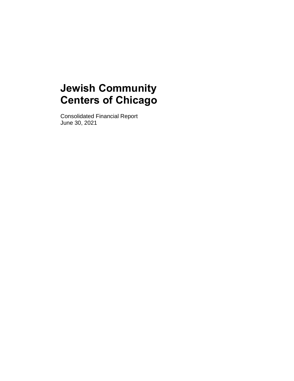Consolidated Financial Report June 30, 2021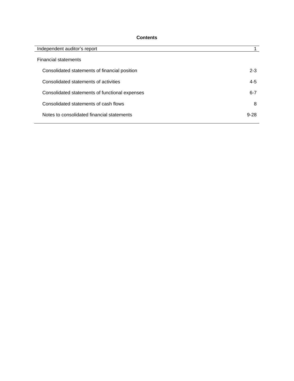## **Contents**

| Independent auditor's report                   |          |
|------------------------------------------------|----------|
| <b>Financial statements</b>                    |          |
| Consolidated statements of financial position  | $2 - 3$  |
| Consolidated statements of activities          | $4 - 5$  |
| Consolidated statements of functional expenses | $6 - 7$  |
| Consolidated statements of cash flows          | 8        |
| Notes to consolidated financial statements     | $9 - 28$ |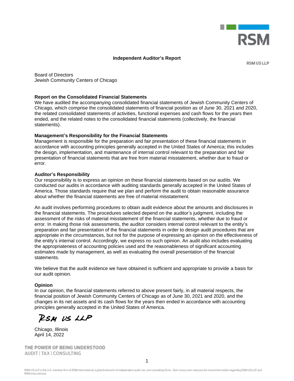

#### **Independent Auditor's Report**

**RSM US LLP** 

Board of Directors Jewish Community Centers of Chicago

#### **Report on the Consolidated Financial Statements**

We have audited the accompanying consolidated financial statements of Jewish Community Centers of Chicago, which comprise the consolidated statements of financial position as of June 30, 2021 and 2020, the related consolidated statements of activities, functional expenses and cash flows for the years then ended, and the related notes to the consolidated financial statements (collectively, the financial statements).

#### **Management's Responsibility for the Financial Statements**

Management is responsible for the preparation and fair presentation of these financial statements in accordance with accounting principles generally accepted in the United States of America; this includes the design, implementation, and maintenance of internal control relevant to the preparation and fair presentation of financial statements that are free from material misstatement, whether due to fraud or error.

#### **Auditor's Responsibility**

Our responsibility is to express an opinion on these financial statements based on our audits. We conducted our audits in accordance with auditing standards generally accepted in the United States of America. Those standards require that we plan and perform the audit to obtain reasonable assurance about whether the financial statements are free of material misstatement.

An audit involves performing procedures to obtain audit evidence about the amounts and disclosures in the financial statements. The procedures selected depend on the auditor's judgment, including the assessment of the risks of material misstatement of the financial statements, whether due to fraud or error. In making those risk assessments, the auditor considers internal control relevant to the entity's preparation and fair presentation of the financial statements in order to design audit procedures that are appropriate in the circumstances, but not for the purpose of expressing an opinion on the effectiveness of the entity's internal control. Accordingly, we express no such opinion. An audit also includes evaluating the appropriateness of accounting policies used and the reasonableness of significant accounting estimates made by management, as well as evaluating the overall presentation of the financial statements.

We believe that the audit evidence we have obtained is sufficient and appropriate to provide a basis for our audit opinion.

#### **Opinion**

In our opinion, the financial statements referred to above present fairly, in all material respects, the financial position of Jewish Community Centers of Chicago as of June 30, 2021 and 2020, and the changes in its net assets and its cash flows for the years then ended in accordance with accounting principles generally accepted in the United States of America.

RSM US LLP

Chicago, Illinois April 14, 2022

THE POWER OF BEING UNDERSTOOD AUDIT | TAX | CONSULTING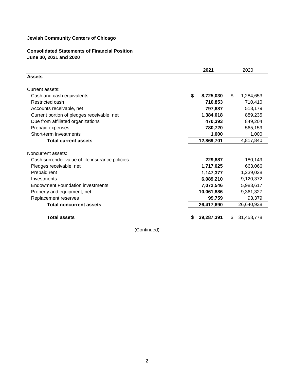## **Consolidated Statements of Financial Position June 30, 2021 and 2020**

|                                                 | 2021            | 2020             |
|-------------------------------------------------|-----------------|------------------|
| <b>Assets</b>                                   |                 |                  |
| Current assets:                                 |                 |                  |
| Cash and cash equivalents                       | \$<br>8,725,030 | \$<br>1,284,653  |
| Restricted cash                                 | 710,853         | 710,410          |
| Accounts receivable, net                        | 797,687         | 518,179          |
| Current portion of pledges receivable, net      | 1,384,018       | 889,235          |
| Due from affiliated organizations               | 470,393         | 849,204          |
| Prepaid expenses                                | 780,720         | 565,159          |
| Short-term investments                          | 1,000           | 1,000            |
| <b>Total current assets</b>                     | 12,869,701      | 4,817,840        |
| Noncurrent assets:                              |                 |                  |
| Cash surrender value of life insurance policies | 229,887         | 180,149          |
| Pledges receivable, net                         | 1,717,025       | 663,066          |
| Prepaid rent                                    | 1,147,377       | 1,239,028        |
| Investments                                     | 6,089,210       | 9,120,372        |
| <b>Endowment Foundation investments</b>         | 7,072,546       | 5,983,617        |
| Property and equipment, net                     | 10,061,886      | 9,361,327        |
| Replacement reserves                            | 99,759          | 93,379           |
| <b>Total noncurrent assets</b>                  | 26,417,690      | 26,640,938       |
| <b>Total assets</b>                             | 39,287,391      | \$<br>31,458,778 |
|                                                 |                 |                  |

(Continued)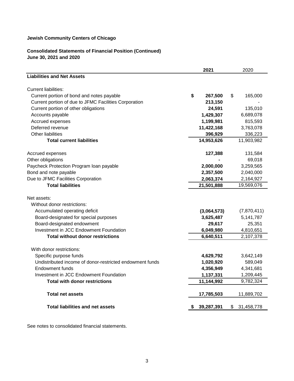## **Consolidated Statements of Financial Position (Continued) June 30, 2021 and 2020**

| <b>Liabilities and Net Assets</b>                                     |             |
|-----------------------------------------------------------------------|-------------|
|                                                                       |             |
|                                                                       |             |
| Current liabilities:                                                  |             |
| \$<br>Current portion of bond and notes payable<br>267,500<br>\$      | 165,000     |
| Current portion of due to JFMC Facilities Corporation<br>213,150      |             |
| Current portion of other obligations<br>24,591                        | 135,010     |
| Accounts payable<br>1,429,307                                         | 6,689,078   |
| Accrued expenses<br>1,199,981                                         | 815,593     |
| Deferred revenue<br>11,422,168                                        | 3,763,078   |
| Other liabilities<br>396,929                                          | 336,223     |
| <b>Total current liabilities</b><br>14,953,626                        | 11,903,982  |
| Accrued expenses<br>127,388                                           | 131,584     |
| Other obligations                                                     | 69,018      |
| Paycheck Protection Program loan payable<br>2,000,000                 | 3,259,565   |
| Bond and note payable<br>2,357,500                                    | 2,040,000   |
| Due to JFMC Facilities Corporation<br>2,063,374                       | 2,164,927   |
| <b>Total liabilities</b><br>21,501,888                                | 19,569,076  |
|                                                                       |             |
| Net assets:                                                           |             |
| Without donor restrictions:                                           |             |
| Accumulated operating deficit<br>(3,064,573)                          | (7,870,411) |
| Board-designated for special purposes<br>3,625,487                    | 5,141,787   |
| Board-designated endowment<br>29,617                                  | 25,351      |
| Investment in JCC Endowment Foundation<br>6,049,980                   | 4,810,651   |
| <b>Total without donor restrictions</b><br>6,640,511                  | 2,107,378   |
| With donor restrictions:                                              |             |
| Specific purpose funds<br>4,629,792                                   | 3,642,149   |
| Undistributed income of donor-restricted endowment funds<br>1,020,920 | 589,049     |
| <b>Endowment funds</b><br>4,356,949                                   | 4,341,681   |
| Investment in JCC Endowment Foundation<br>1,137,331                   | 1,209,445   |
| <b>Total with donor restrictions</b><br>11,144,992                    | 9,782,324   |
|                                                                       |             |
| <b>Total net assets</b><br>17,785,503                                 | 11,889,702  |
| <b>Total liabilities and net assets</b><br>\$<br>39,287,391<br>\$     | 31,458,778  |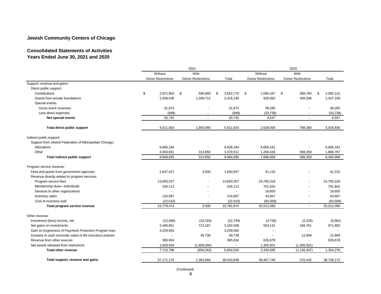## **Consolidated Statements of Activities Years Ended June 30, 2021 and 2020**

|                                                             | 2021 |                           |    |                           |    |            |      | 2020                      |                           |                          |    |            |  |
|-------------------------------------------------------------|------|---------------------------|----|---------------------------|----|------------|------|---------------------------|---------------------------|--------------------------|----|------------|--|
|                                                             |      | Without                   |    | With                      |    |            |      | Without                   |                           | With                     |    |            |  |
|                                                             |      | <b>Donor Restrictions</b> |    | <b>Donor Restrictions</b> |    | Total      |      | <b>Donor Restrictions</b> | <b>Donor Restrictions</b> |                          |    | Total      |  |
| Support, revenue and gains:                                 |      |                           |    |                           |    |            |      |                           |                           |                          |    |            |  |
| Direct public support:                                      |      |                           |    |                           |    |            |      |                           |                           |                          |    |            |  |
| Contributions                                               | \$   | 2,971,902                 | \$ | 590,868                   | \$ | 3,562,770  | - \$ | 1,695,347                 | \$                        | 389,784                  | \$ | 2,085,131  |  |
| Grants from private foundations                             |      | 1,008,436                 |    | 1,309,712                 |    | 2,318,148  |      | 928,562                   |                           | 408,596                  |    | 1,337,158  |  |
| Special events:                                             |      |                           |    |                           |    |            |      |                           |                           |                          |    |            |  |
| Gross event revenues                                        |      | 31,673                    |    |                           |    | 31,673     |      | 38,285                    |                           |                          |    | 38,285     |  |
| Less direct expenses                                        |      | (948)                     |    |                           |    | (948)      |      | (33, 738)                 |                           |                          |    | (33, 738)  |  |
| Net special events                                          |      | 30,725                    |    | $\omega$                  |    | 30,725     |      | 4,547                     |                           | $\mathbf{r}$             |    | 4,547      |  |
| Total direct public support                                 |      | 4,011,063                 |    | 1,900,580                 |    | 5,911,643  |      | 2,628,456                 |                           | 798,380                  |    | 3,426,836  |  |
| Indirect public support:                                    |      |                           |    |                           |    |            |      |                           |                           |                          |    |            |  |
| Support from Jewish Federation of Metropolitan Chicago:     |      |                           |    |                           |    |            |      |                           |                           |                          |    |            |  |
| Allocations                                                 |      | 6,606,184                 |    |                           |    | 6,606,184  |      | 6,606,181                 |                           |                          |    | 6,606,181  |  |
| Other                                                       |      | 3,063,661                 |    | 314,850                   |    | 3,378,511  |      | 1,290,428                 |                           | 598,359                  |    | 1,888,787  |  |
| Total indirect public support                               |      | 9.669.845                 |    | 314,850                   |    | 9,984,695  |      | 7,896,609                 |                           | 598,359                  |    | 8,494,968  |  |
| Program service revenue:                                    |      |                           |    |                           |    |            |      |                           |                           |                          |    |            |  |
| Fees and grants from government agencies                    |      | 1,647,427                 |    | 3,500                     |    | 1,650,927  |      | 41,132                    |                           |                          |    | 41,132     |  |
| Revenue directly related to program services:               |      |                           |    |                           |    |            |      |                           |                           |                          |    |            |  |
| Program service fees                                        |      | 13,693,257                |    |                           |    | 13,693,257 |      | 24,790,318                |                           |                          |    | 24,790,318 |  |
| Membership dues-individuals                                 |      | 326,113                   |    |                           |    | 326,113    |      | 701,942                   |                           |                          |    | 701,942    |  |
| Services to other organizations                             |      |                           |    |                           |    |            |      | 18,600                    |                           |                          |    | 18,600     |  |
| Inventory sales                                             |      | 134,687                   |    |                           |    | 134,687    |      | 43,667                    |                           |                          |    | 43,667     |  |
| Cost of inventory sold                                      |      | (22,010)                  |    | $\sim$                    |    | (22,010)   |      | (83, 569)                 |                           | $\overline{\phantom{a}}$ |    | (83, 569)  |  |
| Total program service revenue                               |      | 15,779,474                |    | 3,500                     |    | 15,782,974 |      | 25,512,090                |                           | $\blacksquare$           |    | 25,512,090 |  |
| Other revenue:                                              |      |                           |    |                           |    |            |      |                           |                           |                          |    |            |  |
| Investment (loss) income, net                               |      | (12, 566)                 |    | (10, 183)                 |    | (22, 749)  |      | (4,735)                   |                           | (2, 226)                 |    | (6,961)    |  |
| Net gains on investments                                    |      | 2,468,851                 |    | 713,187                   |    | 3,182,038  |      | 503,141                   |                           | 168,751                  |    | 671,892    |  |
| Gain on forgiveness of Paycheck Protection Program Ioan     |      | 3,259,565                 |    | $\sim$                    |    | 3,259,565  |      | $\sim$                    |                           | $\sim$                   |    |            |  |
| Increase in cash surrender value of life insurance policies |      |                           |    | 49,738                    |    | 49,738     |      |                           |                           | 12,669                   |    | 12,669     |  |
| Revenue from other sources                                  |      | 385,934                   |    |                           |    | 385,934    |      | 626,678                   |                           | $\sim$                   |    | 626,678    |  |
| Net assets released from restrictions                       |      | 1,609,004                 |    | (1,609,004)               |    |            |      | 1,305,501                 |                           | (1,305,501)              |    |            |  |
| <b>Total other revenue</b>                                  |      | 7,710,788                 |    | (856, 262)                |    | 6,854,526  |      | 2,430,585                 |                           | (1, 126, 307)            |    | 1,304,278  |  |
| Total support, revenue and gains                            |      | 37,171,170                |    | 1,362,668                 |    | 38,533,838 |      | 38,467,740                |                           | 270,432                  |    | 38,738,172 |  |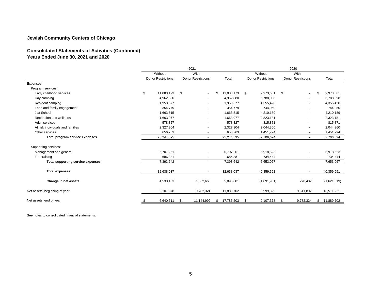## **Consolidated Statements of Activities (Continued) Years Ended June 30, 2021 and 2020**

|                                   |                           | 2021                      | 2020            |                           |                           |                 |  |  |
|-----------------------------------|---------------------------|---------------------------|-----------------|---------------------------|---------------------------|-----------------|--|--|
|                                   | Without                   | With                      |                 | Without                   | With                      |                 |  |  |
|                                   | <b>Donor Restrictions</b> | <b>Donor Restrictions</b> | Total           | <b>Donor Restrictions</b> | <b>Donor Restrictions</b> | Total           |  |  |
| Expenses:                         |                           |                           |                 |                           |                           |                 |  |  |
| Program services:                 |                           |                           |                 |                           |                           |                 |  |  |
| Early childhood services          | \$<br>11,083,173          | \$<br>$\sim$              | 11,083,173<br>S | \$<br>9,973,661           | \$<br>$\blacksquare$      | \$<br>9,973,661 |  |  |
| Day camping                       | 4,962,880                 | ۰                         | 4,962,880       | 6,788,098                 |                           | 6,788,098       |  |  |
| Resident camping                  | 1,953,677                 | $\blacksquare$            | 1,953,677       | 4,355,420                 | $\overline{\phantom{a}}$  | 4,355,420       |  |  |
| Teen and family engagement        | 354,779                   | ۰                         | 354,779         | 744,050                   |                           | 744,050         |  |  |
| J at School                       | 1,663,515                 | ۰                         | 1,663,515       | 4,210,189                 |                           | 4,210,189       |  |  |
| Recreation and wellness           | 1,663,977                 | $\blacksquare$            | 1,663,977       | 2,323,181                 | $\overline{\phantom{a}}$  | 2,323,181       |  |  |
| Adult services                    | 578,327                   | $\overline{\phantom{a}}$  | 578,327         | 815,871                   | ٠                         | 815,871         |  |  |
| At risk individuals and families  | 2,327,304                 | ٠                         | 2,327,304       | 2,044,360                 | ٠                         | 2,044,360       |  |  |
| Other services                    | 656,763                   | ٠                         | 656,763         | 1,451,794                 | $\overline{\phantom{a}}$  | 1,451,794       |  |  |
| Total program service expenses    | 25,244,395                | ۰                         | 25,244,395      | 32,706,624                | ٠                         | 32,706,624      |  |  |
| Supporting services:              |                           |                           |                 |                           |                           |                 |  |  |
| Management and general            | 6,707,261                 | ٠                         | 6,707,261       | 6,918,623                 |                           | 6,918,623       |  |  |
| Fundraising                       | 686,381                   |                           | 686,381         | 734,444                   |                           | 734,444         |  |  |
| Total supporting service expenses | 7,393,642                 | ٠                         | 7,393,642       | 7,653,067                 | ä,                        | 7,653,067       |  |  |
| <b>Total expenses</b>             | 32,638,037                |                           | 32,638,037      | 40,359,691                |                           | 40,359,691      |  |  |
| Change in net assets              | 4,533,133                 | 1,362,668                 | 5,895,801       | (1,891,951)               | 270,432                   | (1,621,519)     |  |  |
| Net assets, beginning of year     | 2,107,378                 | 9,782,324                 | 11,889,702      | 3,999,329                 | 13,511,221<br>9,511,892   |                 |  |  |
| Net assets, end of year           | \$<br>6,640,511           | 11,144,992<br>\$          | \$ 17,785,503   | 2,107,378<br>S.           | \$<br>9,782,324           | \$ 11,889,702   |  |  |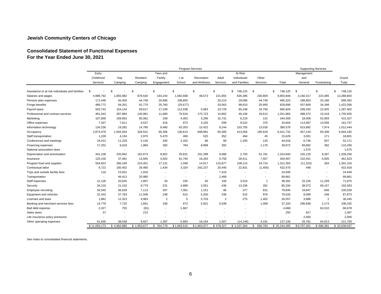## **Consolidated Statement of Functional Expenses For the Year Ended June 30, 2021**

|                                                | <b>Program Services</b>  |                          |             |                          |                          |                          |                |                          |                          |                          |                          |                          |               |
|------------------------------------------------|--------------------------|--------------------------|-------------|--------------------------|--------------------------|--------------------------|----------------|--------------------------|--------------------------|--------------------------|--------------------------|--------------------------|---------------|
|                                                | Early                    |                          |             | Teen and                 |                          |                          |                | At Risk                  |                          |                          | Management               |                          |               |
|                                                | Childhood                | Day                      | Resident    | Family                   | J at                     | Recreation               | Adult          | Individuals              | Other                    |                          | and                      |                          | Grand         |
|                                                | Services                 | Camping                  | Camping     | Engagement               | School                   | and Wellness             | Services       | and Families             | Services                 | Total                    | General                  | Fundraising              | Total         |
| Assistance to at risk individuals and families |                          | \$                       | \$          | \$.                      | $\mathfrak{L}$           | \$                       | \$             | \$<br>748,125            | S.                       | 748,125<br>- \$          | \$                       | $\mathfrak{L}$           | 748,125<br>\$ |
| Salaries and wages                             | 4,986,792                | 1,855,982                | 678,540     | 164,244                  | 1,082,668                | 48,573                   | 221,855        | 635,385                  | 230,809                  | 9,904,848                | 3,160,317                | 223,485                  | 13,288,650    |
| Pension plan expenses                          | 171,446                  | 45,400                   | 44,748      | 20,866                   | 108,805                  |                          | 20,214         | 29,096                   | 44,748                   | 485,323                  | 188,853                  | 25,186                   | 699,362       |
| Fringe benefits                                | 489,772                  | 94,201                   | 91,770      | 25,760                   | (25, 677)                | $\overline{\phantom{a}}$ | 33,563         | 99,610                   | 20,900                   | 829,899                  | 557,809                  | 34,348                   | 1,422,056     |
| Payroll taxes                                  | 503,742                  | 154,124                  | 59,617      | 17,249                   | 112,038                  | 5,063                    | 23,729         | 65,248                   | 24,794                   | 965,604                  | 299,293                  | 22,505                   | 1,287,402     |
| Professional and contract services             | 461,543                  | 287.883                  | 145,981     | 11.680                   | 70,534                   | 175,723                  | 15,802         | 49.106                   | 33,613                   | 1,251,865                | 488,372                  | 15,418                   | 1,755,655     |
| Marketing                                      | 107,956                  | 109,853                  | 95,062      | 108                      | 4,003                    | 5,296                    | 15,731         | 6,219                    | 131                      | 344,359                  | 18,009                   | 52,959                   | 415,327       |
| Office expenses                                | 7,437                    | 7,611                    | 4,537       | 416                      | 872                      | 3,235                    | 599            | 9,522                    | 375                      | 34,604                   | 114,087                  | 13,056                   | 161,747       |
| Information technology                         | 134,236                  | 19,282                   | 14,780      | 8,480                    | 63,353                   | 15,422                   | 8,244          | 103,755                  | 13,026                   | 380,578                  | 623,892                  | 7,974                    | 1,012,444     |
| Occupancy                                      | 2,873,476                | 1,502,044                | 326,531     | 65,306                   | 130,613                  | 848,981                  | 65,306         | 413,556                  | 195,919                  | 6,421,732                | 457,144                  | 65,306                   | 6,944,182     |
| Staff transportation                           | 1,228                    | 4,134                    | 2,975       | 5,470                    | 406                      | 525                      | 352            | 494                      | 45                       | 15,629                   | 3,001                    | 171                      | 18,801        |
| Conferences and meetings                       | 24,412                   | 11,220                   | 5,130       | 345                      | 2,332                    | 86                       | 68             | 1,200                    | 125                      | 44,918                   | 6,746                    | 507                      | 52,171        |
| Financing expenses                             | 17,252                   | 9,018                    | 1,960       | 392                      | 784                      | 8,998                    | 392            | $\overline{\phantom{a}}$ | 1,176                    | 39,972                   | 69,892                   | 392                      | 110,256       |
| National association dues                      | $\overline{\phantom{a}}$ |                          |             | $\overline{\phantom{a}}$ | $\overline{\phantom{a}}$ |                          |                | $\overline{\phantom{a}}$ | $\overline{\phantom{a}}$ | $\overline{\phantom{a}}$ | 1,575                    | $\overline{\phantom{a}}$ | 1,575         |
| Depreciation and amortization                  | 441,106                  | 220,662                  | 162,674     | 8,852                    | 25,631                   | 241,298                  | 9,086          | 2,750                    | 51,781                   | 1,163,840                | 155,129                  | 9,287                    | 1,328,256     |
| Insurance                                      | 125,156                  | 37,481                   | 13,565      | 4,502                    | 61,794                   | 16,293                   | 9,758          | 28,411                   | 7,507                    | 304,467                  | 152,451                  | 5,005                    | 461,923       |
| Program food and supplies                      | 554,823                  | 266,169                  | 210,451     | 17,131                   | 1,048                    | 14,017                   | 115,877        | 108,115                  | 24,724                   | 1,312,355                | (11, 323)                | 284                      | 1,301,316     |
| Contractual labor                              | 6,722                    | 100,402                  | 26,480      | 1.434                    | 3,324                    | 242,237                  | 20,440         | 22,831                   | (1,400)                  | 422,470                  | 448                      | ٠                        | 422,918       |
| Trips and outside facility fees                | 116                      | 15,501                   | 1,916       | $\overline{\phantom{a}}$ | $\overline{\phantom{a}}$ |                          | 7,416          | $\overline{\phantom{a}}$ |                          | 24,949                   |                          |                          | 24,949        |
| Transportation                                 | $\blacksquare$           | 46,413                   | 20,980      | $\overline{\phantom{a}}$ | $\overline{\phantom{a}}$ | $\overline{\phantom{a}}$ | 2,468          | $\overline{\phantom{a}}$ |                          | 69,861                   | $\overline{\phantom{a}}$ | $\overline{\phantom{a}}$ | 69,861        |
| Staff expenses                                 | 12,126                   | 20,635                   | 1,697       | 33                       | 235                      | 40                       | 100            | 3,524                    | $\overline{1}$           | 38,391                   | 22,226                   | 11,258                   | 71,875        |
| Security                                       | 34,219                   | 21,102                   | 8,779       | 231                      | 4.899                    | 2,051                    | 436            | 13,336                   | 281                      | 85,334                   | 38,072                   | 69,157                   | 192,563       |
| <b>Employee recruiting</b>                     | 26,540                   | 36,639                   | 7,113       | 297                      | 7,001                    | 1,151                    | 96             | 377                      | 631                      | 79,845                   | 19,847                   | 836                      | 100,528       |
| Equipment and vehicles                         | 22,433                   | 37,783                   | 11,508      | 248                      | 615                      | 5,200                    | 248            | 515                      | 976                      | 79,526                   | 8,099                    | 248                      | 87,873        |
| Licenses and dues                              | 1,862                    | 12,323                   | 4,983       | $\overline{2}$           | 5                        | 5,703                    | $\overline{2}$ | 275                      | 1,402                    | 26,557                   | 3,886                    | $\overline{2}$           | 30,445        |
| Banking and merchant services fees             | 14,779                   | 7,725                    | 1,841       | 336                      | 672                      | 5,921                    | 5,038          | $\overline{\phantom{a}}$ | 1,008                    | 37,320                   | 296,838                  | 2,174                    | 336,332       |
| Bad debt expense                               | 2,327                    | 755                      | (81)        | $\overline{\phantom{a}}$ | 1,667                    |                          |                |                          |                          | 4,668                    | $\blacksquare$           | 62,010                   | 66,678        |
| Sales taxes                                    | 37                       | $\overline{\phantom{a}}$ | 213         | ٠                        |                          |                          |                |                          |                          | 250                      | 817                      |                          | 1,067         |
| Life insurance policy premiums                 |                          |                          |             |                          |                          |                          |                |                          |                          | $\overline{\phantom{a}}$ | 2,000                    | $\overline{\phantom{a}}$ | 2,000         |
| Other operating expenses                       | 61.635                   | 38,538                   | 9,927       | 1,397                    | 5,893                    | 18,164                   | 1,507          | (14, 146)                | 4,191                    | 127,106                  | 29,781                   | 64,813                   | 221,700       |
|                                                | \$11,083,173             | \$4,962,880              | \$1,953,677 | \$ 354,779               | \$1,663,515              | \$1,663,977              | \$578,327      | \$2,327,304              | 656,763<br>\$            | \$25,244,395             | \$6,707,261              | \$686.381                | \$32,638,037  |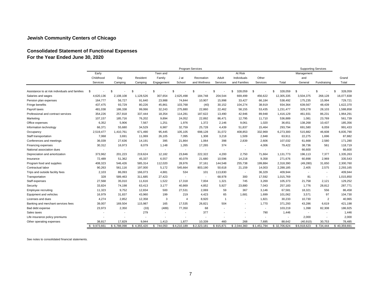## **Consolidated Statement of Functional Expenses For the Year Ended June 30, 2020**

|                                                | <b>Program Services</b>  |                          |                          |                          |                          |                          |                          |                          |             |                           |                          |                          |               |
|------------------------------------------------|--------------------------|--------------------------|--------------------------|--------------------------|--------------------------|--------------------------|--------------------------|--------------------------|-------------|---------------------------|--------------------------|--------------------------|---------------|
|                                                | Early                    |                          |                          | Teen and                 |                          |                          |                          | At Risk                  |             |                           | Management               |                          |               |
|                                                | Childhood                | Day                      | Resident                 | Family                   | J at                     | Recreation               | Adult                    | Individuals              | Other       |                           | and                      |                          | Grand         |
|                                                | Services                 | Camping                  | Camping                  | Engagement               | School                   | and Wellness             | Services                 | and Families             | Services    | Total                     | General                  | Fundraising              | Total         |
| Assistance to at risk individuals and families | -96                      | $\mathfrak{s}$           | $\mathfrak{L}$           | \$.                      | \$                       | \$.                      | \$                       | \$<br>328,059            | S.          | $\mathfrak{L}$<br>328.059 | $\mathfrak{s}$           | $\mathfrak{R}$           | 328,059<br>\$ |
| Salaries and wages                             | 4,620,136                | 2,108,108                | 1,128,526                | 307,654                  | 2,625,498                | 184,748                  | 204,544                  | 669,499                  | 456,622     | 12,305,335                | 3,504,375                | 268,128                  | 16,077,838    |
| Pension plan expenses                          | 164,777                  | 56,727                   | 91,640                   | 23,988                   | 74,844                   | 10,907                   | 15,998                   | 33,427                   | 66,184      | 538,492                   | 175,235                  | 15,994                   | 729,721       |
| Fringe benefits                                | 437,475                  | 93,729                   | 80,226                   | 45,861                   | 103,768                  | (40)                     | 30,152                   | 104,274                  | 38,919      | 934,364                   | 639,567                  | 48,439                   | 1,622,370     |
| Payroll taxes                                  | 481,038                  | 186,338                  | 99,066                   | 32,243                   | 275,880                  | 22,860                   | 22,462                   | 58,155                   | 53,435      | 1,231,477                 | 329,278                  | 28,103                   | 1,588,858     |
| Professional and contract services             | 354,226                  | 257,818                  | 337,444                  | 18.354                   | 114,281                  | 187,622                  | 13,490                   | 42.946                   | 89,948      | 1,416,129                 | 461,931                  | 86,231                   | 1,964,291     |
| Marketing                                      | 107,157                  | 185,716                  | 76,202                   | 9.894                    | 24,052                   | 22,892                   | 86,471                   | 12,795                   | 11,710      | 536,889                   | 1,081                    | 23,769                   | 561,739       |
| Office expenses                                | 6,352                    | 5,906                    | 7,567                    | 1,251                    | 1,976                    | 1,372                    | 2,146                    | 9,061                    | 1,020       | 36,651                    | 138,268                  | 10,437                   | 185,356       |
| Information technology                         | 66,371                   | 55,680                   | 34,529                   | 6,987                    | 32,759                   | 25,728                   | 4,439                    | 51,837                   | 15,464      | 293,794                   | 691,580                  | 6,059                    | 991,433       |
| Occupancy                                      | 2,519,477                | 1,410,761                | 671,490                  | 95,445                   | 105,105                  | 698,128                  | 31,072                   | 408,853                  | 332,969     | 6,273,300                 | 515,882                  | 46,608                   | 6,835,790     |
| Staff transportation                           | 7,068                    | 3,691                    | 11,069                   | 26.105                   | 7,095                    | 1,308                    | 3,218                    | 1,509                    | 2,848       | 63,911                    | 22,275                   | 1,696                    | 87,882        |
| Conferences and meetings                       | 36,039                   | 27,636                   | 14,191                   | 395                      | 21,864                   | 1,064                    | 398                      | 2,839                    | 2,606       | 107,032                   | 61,668                   | 2,580                    | 171,280       |
| Financing expenses                             | 30,312                   | 16,973                   | 8,079                    | 1,148                    | 1,265                    | 17,265                   | 374                      | $\overline{\phantom{a}}$ | 4,006       | 79,422                    | 38,736                   | 561                      | 118,719       |
| National association dues                      | $\overline{\phantom{a}}$ | $\overline{\phantom{a}}$ | $\overline{\phantom{a}}$ | $\overline{\phantom{a}}$ | $\overline{\phantom{a}}$ |                          | $\overline{\phantom{a}}$ | $\overline{\phantom{a}}$ |             | $\blacksquare$            | 66,600                   | $\overline{\phantom{a}}$ | 66,600        |
| Depreciation and amortization                  | 373,962                  | 201,223                  | 219,624                  | 12,182                   | 23,846                   | 222,322                  | 4,200                    | 2,750                    | 71,664      | 1,131,773                 | 196,113                  | 7,377                    | 1,335,263     |
| Insurance                                      | 72,489                   | 51,362                   | 45,337                   | 6,557                    | 40,079                   | 21,680                   | 10,596                   | 14,218                   | 9,358       | 271,676                   | 60,898                   | 2,969                    | 335,543       |
| Program food and supplies                      | 408,323                  | 546,426                  | 585,314                  | 112,020                  | 28,976                   | 37,161                   | 144,548                  | 255,738                  | 199,884     | 2,318,390                 | (49, 280)                | 31,650                   | 2,300,760     |
| Contractual labor                              | 90,263                   | 561,116                  | 197,000                  | 5,172                    | 545,664                  | 803,190                  | 50,618                   | 21,159                   | 14,003      | 2,288,185                 | 2,405                    | 2,575                    | 2,293,165     |
| Trips and outside facility fees                | 2,103                    | 86.093                   | 166,073                  | 4.881                    | 534                      | 101                      | 113,830                  | $\overline{\phantom{a}}$ | 36,329      | 409,944                   | $\overline{\phantom{a}}$ | $\overline{\phantom{a}}$ | 409,944       |
| Transportation                                 | 328                      | 589,463                  | 311,685                  | 27,423                   | $\blacksquare$           | $\overline{\phantom{a}}$ | 68,978                   | 300                      | 17,592      | 1,015,769                 | 81                       | $\sim$                   | 1,015,850     |
| Staff expenses                                 | 27,568                   | 35,010                   | 11,616                   | 1,522                    | 17,318                   | 7,004                    | 1,321                    | 745                      | 3,269       | 105,373                   | 21,758                   | 2,121                    | 129,252       |
| Security                                       | 33,824                   | 74,198                   | 63,413                   | 3.177                    | 40,869                   | 4,852                    | 5,927                    | 23,880                   | 7,043       | 257,183                   | 1,776                    | 28,812                   | 287,771       |
| Employee recruiting                            | 11,323                   | 9,752                    | 12,834                   | 500                      | 27,531                   | 2,069                    | 59                       | 367                      | 3,146       | 67,581                    | 18,321                   | 556                      | 86,458        |
| Equipment and vehicles                         | 16,979                   | 31,837                   | 43,960                   | 199                      | 219                      | 4,423                    | 65                       | 1,681                    | 1.699       | 101,062                   | 3,571                    | 97                       | 104,730       |
| Licenses and dues                              | 4,274                    | 2,852                    | 12,358                   | 3                        | $\overline{A}$           | 8,920                    | $\mathbf 1$              | $\overline{\phantom{a}}$ | 1,821       | 30,233                    | 10,730                   | $\overline{2}$           | 40,965        |
| Banking and merchant services fees             | 39,007                   | 169,504                  | 115,987                  | 165                      | 17,535                   | 26,821                   | 504                      | $\overline{\phantom{a}}$ | 1,770       | 371,293                   | 43,286                   | 6,619                    | 421,198       |
| Bad debt expense                               | 23,973                   | 2,350                    | (33)                     | (489)                    | 77,350                   | 68                       |                          |                          |             | 103,219                   | 1,398                    | 82,308                   | 186,925       |
| Sales taxes                                    |                          |                          | 279                      | $\sim$                   |                          | 377                      |                          | $\overline{\phantom{a}}$ | 790         | 1,446                     |                          |                          | 1,446         |
| Life insurance policy premiums                 |                          |                          |                          | ٠                        |                          |                          |                          |                          |             | $\overline{\phantom{a}}$  | 2,000                    |                          | 2,000         |
| Other operating expenses                       | 38.817                   | 17.829                   | 9.944                    | 1,413                    | 1,877                    | 10,339                   | 460                      | 268                      | 7,695       | 88.642                    | (40, 910)                | 30.753                   | 78,485        |
|                                                | 9,973,661                | \$6.788.098              | \$4,355,420              | \$744.050                | \$4,210,189              | \$2,323,181              | \$815,871                | \$2,044,360              | \$1.451.794 | \$32,706,624              | \$6,918,623              | \$734,444                | \$40,359,691  |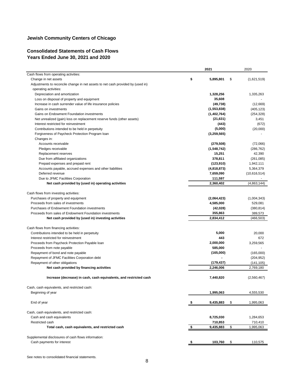## **Consolidated Statements of Cash Flows Years Ended June 30, 2021 and 2020**

|                                                                                 |    | 2021           | 2020              |
|---------------------------------------------------------------------------------|----|----------------|-------------------|
| Cash flows from operating activities:                                           |    |                |                   |
| Change in net assets                                                            | \$ | 5,895,801      | \$<br>(1,621,519) |
| Adjustments to reconcile change in net assets to net cash provided by (used in) |    |                |                   |
| operating activities:                                                           |    |                |                   |
| Depreciation and amortization                                                   |    | 1,328,256      | 1,335,263         |
| Loss on disposal of property and equipment                                      |    | 35,608         |                   |
| Increase in cash surrender value of life insurance policies                     |    | (49, 738)      | (12,669)          |
| Gains on investments                                                            |    | (1,553,838)    | (405, 123)        |
| Gains on Endowment Foundation investments                                       |    | (1,402,764)    | (254, 328)        |
| Net unrealized (gain) loss on replacement reserve funds (other assets)          |    | (21, 631)      | 3,451             |
| Interest restricted for reinvestment                                            |    | (443)          | (672)             |
| Contributions intended to be held in perpetuity                                 |    | (5,000)        | (20,000)          |
| Forgiveness of Paycheck Protection Program Ioan                                 |    | (3,259,565)    |                   |
| Changes in:                                                                     |    |                |                   |
| Accounts receivable                                                             |    | (279, 508)     | (72,066)          |
| Pledges receivable                                                              |    | (1,548,742)    | (286, 762)        |
| Replacement reserves                                                            |    | 15,251         | 42,390            |
| Due from affiliated organizations                                               |    | 378,811        | (261, 085)        |
| Prepaid expenses and prepaid rent                                               |    | (123, 910)     | 1,942,111         |
| Accounts payable, accrued expenses and other liabilities                        |    | (4,818,873)    | 5,364,379         |
| Deferred revenue                                                                |    | 7,659,090      | (10,616,514)      |
| Due to JFMC Facilities Corporation                                              |    | 111,597        |                   |
| Net cash provided by (used in) operating activities                             |    | 2,360,402      | (4,863,144)       |
|                                                                                 |    |                |                   |
| Cash flows from investing activities:                                           |    |                |                   |
| Purchases of property and equipment                                             |    | (2,064,423)    | (1,004,343)       |
| Proceeds from sales of investments                                              |    | 4,585,000      | 529,081           |
| Purchases of Endowment Foundation investments                                   |    | (42, 028)      | (380, 814)        |
| Proceeds from sales of Endowment Foundation investments                         |    | 355,863        | 389,573           |
| Net cash provided by (used in) investing activities                             |    | 2,834,412      | (466, 503)        |
| Cash flows from financing activities:                                           |    |                |                   |
| Contributions intended to be held in perpetuity                                 |    | 5,000          | 20,000            |
| Interest restricted for reinvestment                                            |    | 443            | 672               |
| Proceeds from Paycheck Protection Payable Ioan                                  |    | 2,000,000      | 3,259,565         |
| Proceeds from note payable                                                      |    | 585,000        |                   |
| Repayment of bond and note payable                                              |    | (165,000)      | (165,000)         |
| Repayment of JFMC Facilities Corporation debt                                   |    | $\blacksquare$ | (204, 952)        |
| Repayment of other obligations                                                  |    | (179, 437)     | (141, 105)        |
| Net cash provided by financing activities                                       |    | 2,246,006      | 2,769,180         |
|                                                                                 |    |                |                   |
| Increase (decrease) in cash, cash equivalents, and restricted cash              |    | 7,440,820      | (2,560,467)       |
| Cash, cash equivalents, and restricted cash:                                    |    |                |                   |
| Beginning of year                                                               |    | 1,995,063      | 4,555,530         |
|                                                                                 |    |                |                   |
| End of year                                                                     | s. | 9,435,883      | \$<br>1,995,063   |
| Cash, cash equivalents, and restricted cash:                                    |    |                |                   |
| Cash and cash equivalents                                                       |    | 8,725,030      | 1,284,653         |
| Restricted cash                                                                 |    | 710,853        | 710,410           |
| Total cash, cash equivalents, and restricted cash                               | \$ | 9,435,883      | \$<br>1,995,063   |
|                                                                                 |    |                |                   |
| Supplemental disclosures of cash flows information:                             |    |                |                   |
| Cash payments for interest                                                      |    | 103,760        | \$<br>110,575     |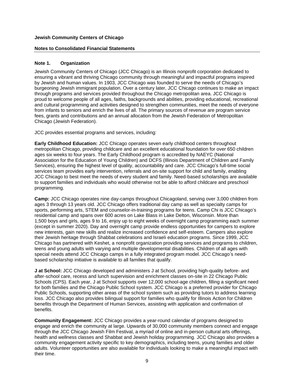#### **Notes to Consolidated Financial Statements**

#### **Note 1. Organization**

Jewish Community Centers of Chicago (JCC Chicago) is an Illinois nonprofit corporation dedicated to ensuring a vibrant and thriving Chicago community through meaningful and impactful programs inspired by Jewish and human values. In 1903, JCC Chicago was founded to serve the needs of Chicago's burgeoning Jewish immigrant population. Over a century later, JCC Chicago continues to make an impact through programs and services provided throughout the Chicago metropolitan area. JCC Chicago is proud to welcome people of all ages, faiths, backgrounds and abilities, providing educational, recreational and cultural programming and activities designed to strengthen communities, meet the needs of everyone from infants to seniors and enrich the lives of all. The primary sources of revenue are program service fees, grants and contributions and an annual allocation from the Jewish Federation of Metropolitan Chicago (Jewish Federation).

JCC provides essential programs and services, including:

**Early Childhood Education:** JCC Chicago operates seven early childhood centers throughout metropolitan Chicago, providing childcare and an excellent educational foundation for over 650 children ages six weeks to four years. The Early Childhood program is accredited by NAEYC (National Association for the Education of Young Children) and DCFS (Illinois Department of Children and Family Services), ensuring the highest level of quality, accountability and care. JCC Chicago's full-time social services team provides early intervention, referrals and on-site support for child and family, enabling JCC Chicago to best meet the needs of every student and family. Need-based scholarships are available to support families and individuals who would otherwise not be able to afford childcare and preschool programming.

**Camp:** JCC Chicago operates nine day-camps throughout Chicagoland, serving over 3,000 children from ages 3 through 13 years old. JCC Chicago offers traditional day camp as well as specialty camps for sports, performing arts, STEM and counselor-in-training programs for teens. Camp Chi is JCC Chicago's residential camp and spans over 600 acres on Lake Blass in Lake Delton, Wisconsin. More than 1,500 boys and girls, ages 9 to 16, enjoy up to eight weeks of overnight camp programming each summer (except in summer 2020). Day and overnight camp provide endless opportunities for campers to explore new interests, gain new skills and realize increased confidence and self-esteem. Campers also explore their Jewish heritage through Shabbat celebrations and Israeli education programs. Since 1999, JCC Chicago has partnered with Keshet, a nonprofit organization providing services and programs to children, teens and young adults with varying and multiple developmental disabilities. Children of all ages with special needs attend JCC Chicago camps in a fully integrated program model. JCC Chicago's needbased scholarship initiative is available to all families that qualify.

**J at School:** JCC Chicago developed and administers J at School, providing high-quality before- and after-school care, recess and lunch supervision and enrichment classes on-site in 22 Chicago Public Schools (CPS). Each year, J at School supports over 12,000 school-age children, filling a significant need for both families and the Chicago Public School system. JCC Chicago is a preferred provider for Chicago Public Schools, supporting other areas of the school system such as providing tutors to address learning loss. JCC Chicago also provides bilingual support for families who qualify for Illinois Action for Children benefits through the Department of Human Services, assisting with application and confirmation of benefits.

**Community Engagement:** JCC Chicago provides a year-round calendar of programs designed to engage and enrich the community at large. Upwards of 30,000 community members connect and engage through the JCC Chicago Jewish Film Festival, a myriad of online and in-person cultural arts offerings, health and wellness classes and Shabbat and Jewish holiday programming. JCC Chicago also provides a community engagement activity specific to key demographics, including teens, young families and older adults. Volunteer opportunities are also available for individuals looking to make a meaningful impact with their time.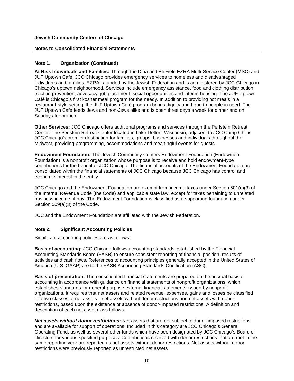#### **Notes to Consolidated Financial Statements**

#### **Note 1. Organization (Continued)**

**At Risk Individuals and Families:** Through the Dina and Eli Field EZRA Multi-Service Center (MSC) and JUF Uptown Café, JCC Chicago provides emergency services to homeless and disadvantaged individuals and families. EZRA is funded by the Jewish Federation and is administered by JCC Chicago in Chicago's uptown neighborhood. Services include emergency assistance, food and clothing distribution, eviction prevention, advocacy, job placement, social opportunities and interim housing. The JUF Uptown Café is Chicago's first kosher meal program for the needy. In addition to providing hot meals in a restaurant-style setting, the JUF Uptown Café program brings dignity and hope to people in need. The JUF Uptown Café feeds Jews and non-Jews alike and is open three days a week for dinner and on Sundays for brunch.

**Other Services:** JCC Chicago offers additional programs and services through the Perlstein Retreat Center. The Perlstein Retreat Center located in Lake Delton, Wisconsin, adjacent to JCC Camp Chi, is JCC Chicago's premier destination for families, groups, businesses and individuals throughout the Midwest, providing programming, accommodations and meaningful events for guests.

**Endowment Foundation:** The Jewish Community Centers Endowment Foundation (Endowment Foundation) is a nonprofit organization whose purpose is to receive and hold endowment-type contributions for the benefit of JCC Chicago. The financial accounts of the Endowment Foundation are consolidated within the financial statements of JCC Chicago because JCC Chicago has control and economic interest in the entity.

JCC Chicago and the Endowment Foundation are exempt from income taxes under Section 501(c)(3) of the Internal Revenue Code (the Code) and applicable state law, except for taxes pertaining to unrelated business income, if any. The Endowment Foundation is classified as a supporting foundation under Section 509(a)(3) of the Code.

JCC and the Endowment Foundation are affiliated with the Jewish Federation.

#### **Note 2. Significant Accounting Policies**

Significant accounting policies are as follows:

**Basis of accounting:** JCC Chicago follows accounting standards established by the Financial Accounting Standards Board (FASB) to ensure consistent reporting of financial position, results of activities and cash flows. References to accounting principles generally accepted in the United States of America (U.S. GAAP) are to the FASB Accounting Standards Codification (ASC).

**Basis of presentation:** The consolidated financial statements are prepared on the accrual basis of accounting in accordance with guidance on financial statements of nonprofit organizations, which establishes standards for general-purpose external financial statements issued by nonprofit organizations. It requires that net assets and related revenue, expenses, gains and losses be classified into two classes of net assets—net assets without donor restrictions and net assets with donor restrictions, based upon the existence or absence of donor-imposed restrictions. A definition and description of each net asset class follows:

*Net assets without donor restrictions***:** Net assets that are not subject to donor-imposed restrictions and are available for support of operations. Included in this category are JCC Chicago's General Operating Fund, as well as several other funds which have been designated by JCC Chicago's Board of Directors for various specified purposes. Contributions received with donor restrictions that are met in the same reporting year are reported as net assets without donor restrictions. Net assets without donor restrictions were previously reported as unrestricted net assets.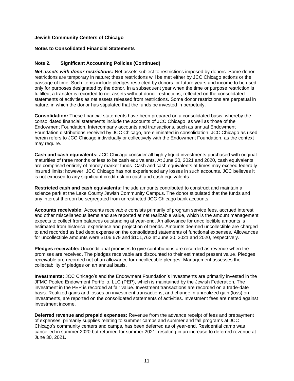#### **Notes to Consolidated Financial Statements**

#### **Note 2. Significant Accounting Policies (Continued)**

*Net assets with donor restrictions***:** Net assets subject to restrictions imposed by donors. Some donor restrictions are temporary in nature; these restrictions will be met either by JCC Chicago actions or the passage of time. Such items include pledges restricted by donors for future years and income to be used only for purposes designated by the donor. In a subsequent year when the time or purpose restriction is fulfilled, a transfer is recorded to net assets without donor restrictions, reflected on the consolidated statements of activities as net assets released from restrictions. Some donor restrictions are perpetual in nature, in which the donor has stipulated that the funds be invested in perpetuity.

**Consolidation:** These financial statements have been prepared on a consolidated basis, whereby the consolidated financial statements include the accounts of JCC Chicago, as well as those of the Endowment Foundation. Intercompany accounts and transactions, such as annual Endowment Foundation distributions received by JCC Chicago, are eliminated in consolidation. JCC Chicago as used herein refers to JCC Chicago individually or collectively with the Endowment Foundation, as the context may require.

**Cash and cash equivalents:** JCC Chicago consider all highly liquid investments purchased with original maturities of three months or less to be cash equivalents. At June 30, 2021 and 2020, cash equivalents are comprised entirely of money market funds. Cash and cash equivalents at times may exceed federally insured limits; however, JCC Chicago has not experienced any losses in such accounts. JCC believes it is not exposed to any significant credit risk on cash and cash equivalents.

**Restricted cash and cash equivalents:** Include amounts contributed to construct and maintain a science park at the Lake County Jewish Community Campus. The donor stipulated that the funds and any interest thereon be segregated from unrestricted JCC Chicago bank accounts.

**Accounts receivable:** Accounts receivable consists primarily of program service fees, accrued interest and other miscellaneous items and are reported at net realizable value, which is the amount management expects to collect from balances outstanding at year-end. An allowance for uncollectible amounts is estimated from historical experience and projection of trends. Amounts deemed uncollectible are charged to and recorded as bad debt expense on the consolidated statements of functional expenses. Allowances for uncollectible amounts were \$106,679 and \$101,762 at June 30, 2021 and 2020, respectively.

**Pledges receivable:** Unconditional promises to give contributions are recorded as revenue when the promises are received. The pledges receivable are discounted to their estimated present value. Pledges receivable are recorded net of an allowance for uncollectible pledges. Management assesses the collectability of pledges on an annual basis.

**Investments:** JCC Chicago's and the Endowment Foundation's investments are primarily invested in the JFMC Pooled Endowment Portfolio, LLC (PEP), which is maintained by the Jewish Federation. The investment in the PEP is recorded at fair value. Investment transactions are recorded on a trade-date basis. Realized gains and losses on investment transactions, and change in unrealized gain (loss) on investments, are reported on the consolidated statements of activities. Investment fees are netted against investment income.

**Deferred revenue and prepaid expenses:** Revenue from the advance receipt of fees and prepayment of expenses, primarily supplies relating to summer camps and summer and fall programs at JCC Chicago's community centers and camps, has been deferred as of year-end. Residential camp was cancelled in summer 2020 but returned for summer 2021, resulting in an increase to deferred revenue at June 30, 2021.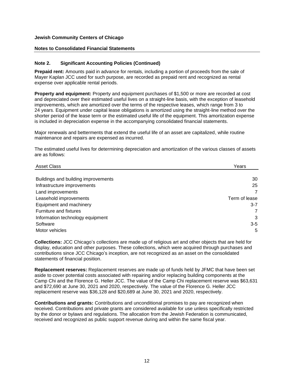#### **Notes to Consolidated Financial Statements**

#### **Note 2. Significant Accounting Policies (Continued)**

**Prepaid rent:** Amounts paid in advance for rentals, including a portion of proceeds from the sale of Mayer Kaplan JCC used for such purpose, are recorded as prepaid rent and recognized as rental expense over applicable rental periods.

**Property and equipment:** Property and equipment purchases of \$1,500 or more are recorded at cost and depreciated over their estimated useful lives on a straight-line basis, with the exception of leasehold improvements, which are amortized over the terms of the respective leases, which range from 3 to 24 years. Equipment under capital lease obligations is amortized using the straight-line method over the shorter period of the lease term or the estimated useful life of the equipment. This amortization expense is included in depreciation expense in the accompanying consolidated financial statements.

Major renewals and betterments that extend the useful life of an asset are capitalized, while routine maintenance and repairs are expensed as incurred.

The estimated useful lives for determining depreciation and amortization of the various classes of assets are as follows:

| <b>Asset Class</b>                  | Years         |
|-------------------------------------|---------------|
|                                     |               |
| Buildings and building improvements | 30            |
| Infrastructure improvements         | 25            |
| Land improvements                   | 7             |
| Leasehold improvements              | Term of lease |
| Equipment and machinery             | $3 - 7$       |
| Furniture and fixtures              | 7             |
| Information technology equipment    | 3             |
| Software                            | $3 - 5$       |
| Motor vehicles                      | 5             |

**Collections:** JCC Chicago's collections are made up of religious art and other objects that are held for display, education and other purposes. These collections, which were acquired through purchases and contributions since JCC Chicago's inception, are not recognized as an asset on the consolidated statements of financial position.

**Replacement reserves:** Replacement reserves are made up of funds held by JFMC that have been set aside to cover potential costs associated with repairing and/or replacing building components at the Camp Chi and the Florence G. Heller JCC. The value of the Camp Chi replacement reserve was \$63,631 and \$72,690 at June 30, 2021 and 2020, respectively. The value of the Florence G. Heller JCC replacement reserve was \$36,128 and \$20,689 at June 30, 2021 and 2020, respectively.

**Contributions and grants:** Contributions and unconditional promises to pay are recognized when received. Contributions and private grants are considered available for use unless specifically restricted by the donor or bylaws and regulations. The allocation from the Jewish Federation is communicated, received and recognized as public support revenue during and within the same fiscal year.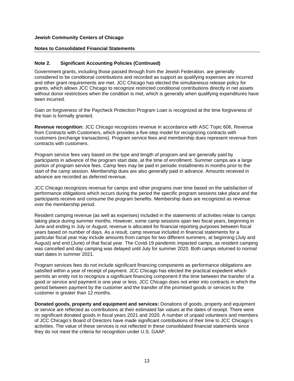#### **Notes to Consolidated Financial Statements**

#### **Note 2. Significant Accounting Policies (Continued)**

Government grants, including those passed through from the Jewish Federation, are generally considered to be conditional contributions and recorded as support as qualifying expenses are incurred and other grant requirements are met. JCC Chicago has elected the simultaneous release policy for grants, which allows JCC Chicago to recognize restricted conditional contributions directly in net assets without donor restrictions when the condition is met, which is generally when qualifying expenditures have been incurred.

Gain on forgiveness of the Paycheck Protection Program Loan is recognized at the time forgiveness of the loan is formally granted.

**Revenue recognition:** JCC Chicago recognizes revenue in accordance with ASC Topic 606, Revenue from Contracts with Customers, which provides a five-step model for recognizing contracts with customers (exchange transactions). Program service fees and membership dues represent revenue from contracts with customers.

Program service fees vary based on the type and length of program and are generally paid by participants in advance of the program start date, at the time of enrollment. Summer camps are a large portion of program service fees. Camp fees may be paid in periodic installments in months prior to the start of the camp session. Membership dues are also generally paid in advance. Amounts received in advance are recorded as deferred revenue.

JCC Chicago recognizes revenue for camps and other programs over time based on the satisfaction of performance obligations which occurs during the period the specific program sessions take place and the participants receive and consume the program benefits. Membership dues are recognized as revenue over the membership period.

Resident camping revenue (as well as expenses) included in the statements of activities relate to camps taking place during summer months. However, some camp sessions span two fiscal years, beginning in June and ending in July or August; revenue is allocated for financial reporting purposes between fiscal years based on number of days. As a result, camp revenue included in financial statements for a particular fiscal year may include amounts from camps for two different summers, at beginning (July and August) and end (June) of that fiscal year. The Covid-19 pandemic impacted camps, as resident camping was cancelled and day camping was delayed until July for summer 2020. Both camps returned to normal start dates in summer 2021.

Program services fees do not include significant financing components as performance obligations are satisfied within a year of receipt of payment. JCC Chicago has elected the practical expedient which permits an entity not to recognize a significant financing component if the time between the transfer of a good or service and payment is one year or less. JCC Chicago does not enter into contracts in which the period between payment by the customer and the transfer of the promised goods or services to the customer is greater than 12 months.

**Donated goods, property and equipment and services:** Donations of goods, property and equipment or service are reflected as contributions at their estimated fair values at the dates of receipt. There were no significant donated goods in fiscal years 2021 and 2020. A number of unpaid volunteers and members of JCC Chicago's Board of Directors have made significant contributions of their time to JCC Chicago's activities. The value of these services is not reflected in these consolidated financial statements since they do not meet the criteria for recognition under U.S. GAAP.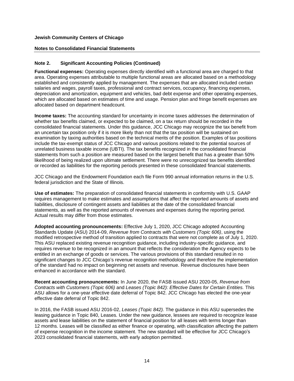#### **Notes to Consolidated Financial Statements**

#### **Note 2. Significant Accounting Policies (Continued)**

**Functional expenses:** Operating expenses directly identified with a functional area are charged to that area. Operating expenses attributable to multiple functional areas are allocated based on a methodology established and consistently applied by management. The expenses that are allocated included certain salaries and wages, payroll taxes, professional and contract services, occupancy, financing expenses, depreciation and amortization, equipment and vehicles, bad debt expense and other operating expenses, which are allocated based on estimates of time and usage. Pension plan and fringe benefit expenses are allocated based on department headcount.

**Income taxes:** The accounting standard for uncertainty in income taxes addresses the determination of whether tax benefits claimed, or expected to be claimed, on a tax return should be recorded in the consolidated financial statements. Under this guidance, JCC Chicago may recognize the tax benefit from an uncertain tax position only if it is more likely than not that the tax position will be sustained on examination by taxing authorities based on the technical merits of the position. Examples of tax positions include the tax-exempt status of JCC Chicago and various positions related to the potential sources of unrelated business taxable income (UBTI). The tax benefits recognized in the consolidated financial statements from such a position are measured based on the largest benefit that has a greater than 50% likelihood of being realized upon ultimate settlement. There were no unrecognized tax benefits identified or recorded as liabilities for the reporting periods presented in these consolidated financial statements.

JCC Chicago and the Endowment Foundation each file Form 990 annual information returns in the U.S. federal jurisdiction and the State of Illinois.

**Use of estimates:** The preparation of consolidated financial statements in conformity with U.S. GAAP requires management to make estimates and assumptions that affect the reported amounts of assets and liabilities, disclosure of contingent assets and liabilities at the date of the consolidated financial statements, as well as the reported amounts of revenues and expenses during the reporting period. Actual results may differ from those estimates.

**Adopted accounting pronouncements:** Effective July 1, 2020, JCC Chicago adopted Accounting Standards Update (ASU) 2014-09, *Revenue from Contracts with Customers (Topic 606)*, using the modified retrospective method of transition applied to contracts that were not complete as of July 1, 2020. This ASU replaced existing revenue recognition guidance, including industry-specific guidance, and requires revenue to be recognized in an amount that reflects the consideration the Agency expects to be entitled in an exchange of goods or services. The various provisions of this standard resulted in no significant changes to JCC Chicago's revenue recognition methodology and therefore the implementation of the standard had no impact on beginning net assets and revenue. Revenue disclosures have been enhanced in accordance with the standard.

**Recent accounting pronouncements:** In June 2020, the FASB issued ASU 2020-05, *Revenue from Contracts with Customers (Topic 606)* and *Leases (Topic 842): Effective Dates for Certain Entities.* This ASU allows for a one-year effective date deferral of Topic 842. JCC Chicago has elected the one-year effective date deferral of Topic 842.

In 2016, the FASB issued ASU 2016-02, *Leases (Topic 842).* The guidance in this ASU supersedes the leasing guidance in Topic 840, Leases*.* Under the new guidance, lessees are required to recognize lease assets and lease liabilities on the statement of financial position for all leases with terms longer than 12 months. Leases will be classified as either finance or operating, with classification affecting the pattern of expense recognition in the income statement. The new standard will be effective for JCC Chicago's 2023 consolidated financial statements, with early adoption permitted.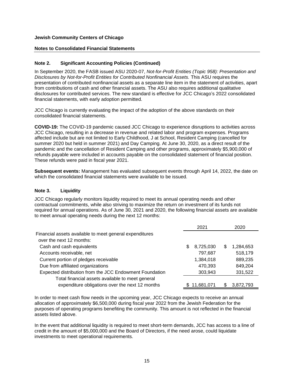#### **Notes to Consolidated Financial Statements**

#### **Note 2. Significant Accounting Policies (Continued)**

In September 2020, the FASB issued ASU 2020-07, *Not-for-Profit Entities (Topic 958): Presentation and Disclosures by Not-for-Profit Entities for Contributed Nonfinancial Assets.* This ASU requires the presentation of contributed nonfinancial assets as a separate line item in the statement of activities, apart from contributions of cash and other financial assets. The ASU also requires additional qualitative disclosures for contributed services. The new standard is effective for JCC Chicago's 2022 consolidated financial statements, with early adoption permitted.

JCC Chicago is currently evaluating the impact of the adoption of the above standards on their consolidated financial statements.

**COVID-19:** The COVID-19 pandemic caused JCC Chicago to experience disruptions to activities across JCC Chicago, resulting in a decrease in revenue and related labor and program expenses. Programs affected include but are not limited to Early Childhood, J at School, Resident Camping (cancelled for summer 2020 but held in summer 2021) and Day Camping. At June 30, 2020, as a direct result of the pandemic and the cancellation of Resident Camping and other programs, approximately \$5,900,000 of refunds payable were included in accounts payable on the consolidated statement of financial position. These refunds were paid in fiscal year 2021.

**Subsequent events:** Management has evaluated subsequent events through April 14, 2022, the date on which the consolidated financial statements were available to be issued.

#### **Note 3. Liquidity**

JCC Chicago regularly monitors liquidity required to meet its annual operating needs and other contractual commitments, while also striving to maximize the return on investment of its funds not required for annual operations. As of June 30, 2021 and 2020, the following financial assets are available to meet annual operating needs during the next 12 months:

|                                                                                     |    | 2021       |   | 2020      |
|-------------------------------------------------------------------------------------|----|------------|---|-----------|
| Financial assets available to meet general expenditures<br>over the next 12 months: |    |            |   |           |
| Cash and cash equivalents                                                           | S. | 8,725,030  | S | 1,284,653 |
| Accounts receivable, net                                                            |    | 797,687    |   | 518,179   |
| Current portion of pledges receivable                                               |    | 1,384,018  |   | 889,235   |
| Due from affiliated organizations                                                   |    | 470,393    |   | 849,204   |
| Expected distribution from the JCC Endowment Foundation                             |    | 303,943    |   | 331,522   |
| Total financial assets available to meet general                                    |    |            |   |           |
| expenditure obligations over the next 12 months                                     |    | 11,681,071 |   | 3,872,793 |

In order to meet cash flow needs in the upcoming year, JCC Chicago expects to receive an annual allocation of approximately \$6,500,000 during fiscal year 2022 from the Jewish Federation for the purposes of operating programs benefiting the community. This amount is not reflected in the financial assets listed above.

In the event that additional liquidity is required to meet short-term demands, JCC has access to a line of credit in the amount of \$5,000,000 and the Board of Directors, if the need arose, could liquidate investments to meet operational requirements.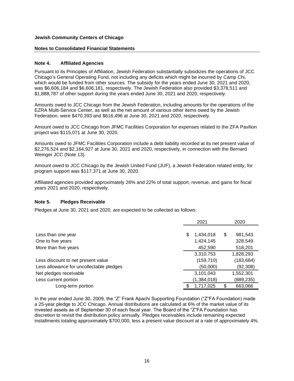#### **Notes to Consolidated Financial Statements**

#### **Note 4. Affiliated Agencies**

Pursuant to its Principles of Affiliation, Jewish Federation substantially subsidizes the operations of JCC Chicago's General Operating Fund, not including any deficits which might be incurred by Camp Chi, which would be funded from other sources. The subsidy for the years ended June 30, 2021 and 2020, was \$6,606,184 and \$6,606,181, respectively. The Jewish Federation also provided \$3,378,511 and \$1,888,787 of other support during the years ended June 30, 2021 and 2020, respectively.

Amounts owed to JCC Chicago from the Jewish Federation, including amounts for the operations of the EZRA Multi-Service Center, as well as the net amount of various other items owed by the Jewish Federation, were \$470,393 and \$616,496 at June 30, 2021 and 2020, respectively.

Amount owed to JCC Chicago from JFMC Facilities Corporation for expenses related to the ZFA Pavilion project was \$115,071 at June 30, 2020.

Amounts owed to JFMC Facilities Corporation include a debt liability recorded at its net present value of \$2,276,524 and \$2,164,927 at June 30, 2021 and 2020, respectively, in connection with the Bernard Weinger JCC (Note 13).

Amount owed to JCC Chicago by the Jewish United Fund (JUF), a Jewish Federation related entity, for program support was \$117,371 at June 30, 2020.

Affiliated agencies provided approximately 26% and 22% of total support, revenue, and gains for fiscal years 2021 and 2020, respectively.

#### **Note 5. Pledges Receivable**

Pledges at June 30, 2021 and 2020, are expected to be collected as follows:

|                                          |   | 2021        | 2020          |
|------------------------------------------|---|-------------|---------------|
|                                          |   |             |               |
| Less than one year                       | S | 1,434,018   | \$<br>981,543 |
| One to five years                        |   | 1,424,145   | 328,549       |
| More than five years                     |   | 452,590     | 518,201       |
|                                          |   | 3,310,753   | 1,828,293     |
| Less discount to net present value       |   | (159, 710)  | (183, 684)    |
| Less allowance for uncollectable pledges |   | (50,000)    | (92,308)      |
| Net pledges receivable                   |   | 3,101,043   | 1,552,301     |
| Less current portion                     |   | (1,384,018) | (889, 235)    |
| Long-term portion                        |   | 1.717.025   | 663,066       |

In the year ended June 30, 2009, the "Z" Frank Apachi Supporting Foundation ("Z"FA Foundation) made a 25-year pledge to JCC Chicago. Annual distributions are calculated at 6% of the market value of its invested assets as of September 30 of each fiscal year. The Board of the "Z"FA Foundation has discretion to revisit the distribution policy annually. Pledges receivables include remaining expected installments totaling approximately \$700,000, less a present value discount at a rate of approximately 4%.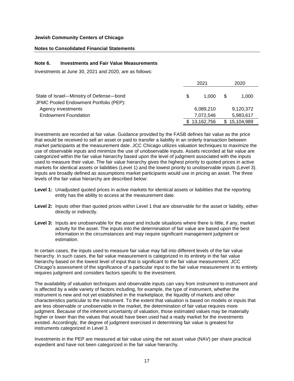#### **Notes to Consolidated Financial Statements**

#### **Note 6. Investments and Fair Value Measurements**

Investments at June 30, 2021 and 2020, are as follows:

|                                                                                    |     | 2021       |     | 2020       |
|------------------------------------------------------------------------------------|-----|------------|-----|------------|
| State of Israel-Ministry of Defense-bond<br>JFMC Pooled Endowment Portfolio (PEP): | \$. | 1.000      | \$. | 1.000      |
| Agency investments                                                                 |     | 6,089,210  |     | 9,120,372  |
| <b>Endowment Foundation</b>                                                        |     | 7,072,546  |     | 5,983,617  |
|                                                                                    |     | 13,162,756 | S.  | 15,104,989 |

Investments are recorded at fair value. Guidance provided by the FASB defines fair value as the price that would be received to sell an asset or paid to transfer a liability in an orderly transaction between market participants at the measurement date. JCC Chicago utilizes valuation techniques to maximize the use of observable inputs and minimize the use of unobservable inputs. Assets recorded at fair value are categorized within the fair value hierarchy based upon the level of judgment associated with the inputs used to measure their value. The fair value hierarchy gives the highest priority to quoted prices in active markets for identical assets or liabilities (Level 1) and the lowest priority to unobservable inputs (Level 3). Inputs are broadly defined as assumptions market participants would use in pricing an asset. The three levels of the fair value hierarchy are described below:

- **Level 1:** Unadjusted quoted prices in active markets for identical assets or liabilities that the reporting entity has the ability to access at the measurement date.
- **Level 2:** Inputs other than quoted prices within Level 1 that are observable for the asset or liability, either directly or indirectly.
- **Level 3:** Inputs are unobservable for the asset and include situations where there is little, if any, market activity for the asset. The inputs into the determination of fair value are based upon the best information in the circumstances and may require significant management judgment or estimation.

In certain cases, the inputs used to measure fair value may fall into different levels of the fair value hierarchy. In such cases, the fair value measurement is categorized in its entirety in the fair value hierarchy based on the lowest level of input that is significant to the fair value measurement. JCC Chicago's assessment of the significance of a particular input to the fair value measurement in its entirety requires judgment and considers factors specific to the investment.

The availability of valuation techniques and observable inputs can vary from instrument to instrument and is affected by a wide variety of factors including, for example, the type of instrument, whether the instrument is new and not yet established in the marketplace, the liquidity of markets and other characteristics particular to the instrument. To the extent that valuation is based on models or inputs that are less observable or unobservable in the market, the determination of fair value requires more judgment. Because of the inherent uncertainty of valuation, those estimated values may be materially higher or lower than the values that would have been used had a ready market for the investments existed. Accordingly, the degree of judgment exercised in determining fair value is greatest for instruments categorized in Level 3.

Investments in the PEP are measured at fair value using the net asset value (NAV) per share practical expedient and have not been categorized in the fair value hierarchy.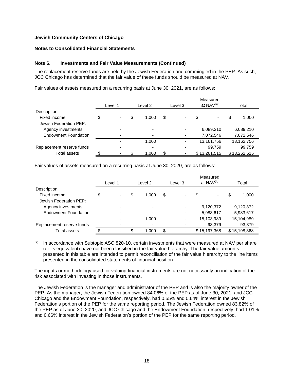#### **Notes to Consolidated Financial Statements**

#### **Note 6. Investments and Fair Value Measurements (Continued)**

The replacement reserve funds are held by the Jewish Federation and commingled in the PEP. As such, JCC Chicago has determined that the fair value of these funds should be measured at NAV.

Fair values of assets measured on a recurring basis at June 30, 2021, are as follows:

|                             | Level 1 | Level 2                  | Level 3                        | Measured<br>at NAV <sup>(a)</sup> | Total        |
|-----------------------------|---------|--------------------------|--------------------------------|-----------------------------------|--------------|
| Description:                |         |                          |                                |                                   |              |
| Fixed income                | \$<br>۰ | \$<br>1.000              | \$<br>$\overline{\phantom{0}}$ | \$                                | 1,000<br>\$  |
| Jewish Federation PEP:      |         |                          |                                |                                   |              |
| Agency investments          | -       | $\overline{\phantom{0}}$ | ۰                              | 6,089,210                         | 6,089,210    |
| <b>Endowment Foundation</b> | ٠       | $\overline{\phantom{0}}$ |                                | 7,072,546                         | 7,072,546    |
|                             | ۰       | 1.000                    | ۰                              | 13, 161, 756                      | 13,162,756   |
| Replacement reserve funds   | ٠       |                          |                                | 99,759                            | 99,759       |
| <b>Total assets</b>         |         | 1,000                    |                                | \$13,261,515                      | \$13,262,515 |

Fair values of assets measured on a recurring basis at June 30, 2020, are as follows:

|                             |                                |                          |                                | Measured              |              |
|-----------------------------|--------------------------------|--------------------------|--------------------------------|-----------------------|--------------|
|                             | Level 1                        | Level 2                  | Level 3                        | at NAV <sup>(a)</sup> | Total        |
| Description:                |                                |                          |                                |                       |              |
| Fixed income                | \$<br>$\overline{\phantom{a}}$ | \$<br>1.000              | \$<br>$\overline{\phantom{0}}$ | \$                    | \$<br>1,000  |
| Jewish Federation PEP:      |                                |                          |                                |                       |              |
| Agency investments          | ٠                              | $\overline{\phantom{0}}$ | ٠                              | 9,120,372             | 9,120,372    |
| <b>Endowment Foundation</b> | ٠                              |                          |                                | 5,983,617             | 5,983,617    |
|                             | ٠                              | 1.000                    |                                | 15,103,989            | 15,104,989   |
| Replacement reserve funds   | ٠                              | ٠                        |                                | 93,379                | 93,379       |
| Total assets                | $\overline{\phantom{0}}$       | 1.000                    | \$                             | \$15,197,368          | \$15,198,368 |

(a) In accordance with Subtopic ASC 820-10, certain investments that were measured at NAV per share (or its equivalent) have not been classified in the fair value hierarchy. The fair value amounts presented in this table are intended to permit reconciliation of the fair value hierarchy to the line items presented in the consolidated statements of financial position.

The inputs or methodology used for valuing financial instruments are not necessarily an indication of the risk associated with investing in those instruments.

The Jewish Federation is the manager and administrator of the PEP and is also the majority owner of the PEP. As the manager, the Jewish Federation owned 84.06% of the PEP as of June 30, 2021, and JCC Chicago and the Endowment Foundation, respectively, had 0.55% and 0.64% interest in the Jewish Federation's portion of the PEP for the same reporting period. The Jewish Federation owned 83.82% of the PEP as of June 30, 2020, and JCC Chicago and the Endowment Foundation, respectively, had 1.01% and 0.66% interest in the Jewish Federation's portion of the PEP for the same reporting period.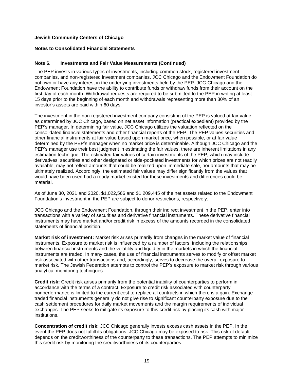#### **Notes to Consolidated Financial Statements**

#### **Note 6. Investments and Fair Value Measurements (Continued)**

The PEP invests in various types of investments, including common stock, registered investment companies, and non-registered investment companies. JCC Chicago and the Endowment Foundation do not own or have any interest in the underlying investments held by the PEP. JCC Chicago and the Endowment Foundation have the ability to contribute funds or withdraw funds from their account on the first day of each month. Withdrawal requests are required to be submitted to the PEP in writing at least 15 days prior to the beginning of each month and withdrawals representing more than 80% of an investor's assets are paid within 60 days.

The investment in the non-registered investment company consisting of the PEP is valued at fair value, as determined by JCC Chicago, based on net asset information (practical expedient) provided by the PEP's manager. In determining fair value, JCC Chicago utilizes the valuation reflected on the consolidated financial statements and other financial reports of the PEP. The PEP values securities and other financial instruments at fair value based upon market price, when possible, or at fair value determined by the PEP's manager when no market price is determinable. Although JCC Chicago and the PEP's manager use their best judgment in estimating the fair values, there are inherent limitations in any estimation technique. The estimated fair values of certain investments of the PEP, which may include derivatives, securities and other designated or side-pocketed investments for which prices are not readily available, may not reflect amounts that could be realized upon immediate sale, nor amounts that may be ultimately realized. Accordingly, the estimated fair values may differ significantly from the values that would have been used had a ready market existed for these investments and differences could be material.

As of June 30, 2021 and 2020, \$1,022,566 and \$1,209,445 of the net assets related to the Endowment Foundation's investment in the PEP are subject to donor restrictions, respectively.

JCC Chicago and the Endowment Foundation, through their indirect investment in the PEP, enter into transactions with a variety of securities and derivative financial instruments. These derivative financial instruments may have market and/or credit risk in excess of the amounts recorded in the consolidated statements of financial position.

**Market risk of investment:** Market risk arises primarily from changes in the market value of financial instruments. Exposure to market risk is influenced by a number of factors, including the relationships between financial instruments and the volatility and liquidity in the markets in which the financial instruments are traded. In many cases, the use of financial instruments serves to modify or offset market risk associated with other transactions and, accordingly, serves to decrease the overall exposure to market risk. The Jewish Federation attempts to control the PEP's exposure to market risk through various analytical monitoring techniques.

**Credit risk:** Credit risk arises primarily from the potential inability of counterparties to perform in accordance with the terms of a contract. Exposure to credit risk associated with counterparty nonperformance is limited to the current cost to replace all contracts in which there is a gain. Exchangetraded financial instruments generally do not give rise to significant counterparty exposure due to the cash settlement procedures for daily market movements and the margin requirements of individual exchanges. The PEP seeks to mitigate its exposure to this credit risk by placing its cash with major institutions.

**Concentration of credit risk:** JCC Chicago generally invests excess cash assets in the PEP. In the event the PEP does not fulfill its obligations, JCC Chicago may be exposed to risk. This risk of default depends on the creditworthiness of the counterparty to these transactions. The PEP attempts to minimize this credit risk by monitoring the creditworthiness of its counterparties.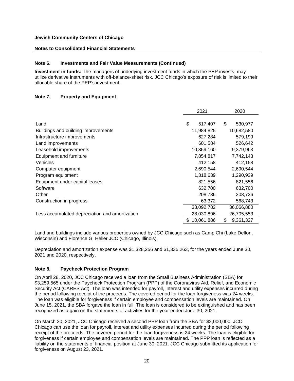#### **Notes to Consolidated Financial Statements**

#### **Note 6. Investments and Fair Value Measurements (Continued)**

**Investment in funds:** The managers of underlying investment funds in which the PEP invests, may utilize derivative instruments with off-balance-sheet risk. JCC Chicago's exposure of risk is limited to their allocable share of the PEP's investment.

#### **Note 7. Property and Equipment**

|                                                | 2021             | 2020            |
|------------------------------------------------|------------------|-----------------|
|                                                |                  |                 |
| Land                                           | \$<br>517,407    | \$<br>530,977   |
| Buildings and building improvements            | 11,984,825       | 10,682,580      |
| Infrastructure improvements                    | 627,284          | 579,199         |
| Land improvements                              | 601,584          | 526,642         |
| Leasehold improvements                         | 10,359,160       | 9,379,963       |
| Equipment and furniture                        | 7,854,817        | 7,742,143       |
| Vehicles                                       | 412,158          | 412,158         |
| Computer equipment                             | 2,690,544        | 2,690,544       |
| Program equipment                              | 1,318,639        | 1,290,939       |
| Equipment under capital leases                 | 821,556          | 821,556         |
| Software                                       | 632,700          | 632,700         |
| Other                                          | 208,736          | 208,736         |
| Construction in progress                       | 63,372           | 568,743         |
|                                                | 38,092,782       | 36,066,880      |
| Less accumulated depreciation and amortization | 28,030,896       | 26,705,553      |
|                                                | 10,061,886<br>\$ | \$<br>9,361,327 |

Land and buildings include various properties owned by JCC Chicago such as Camp Chi (Lake Delton, Wisconsin) and Florence G. Heller JCC (Chicago, Illinois).

Depreciation and amortization expense was \$1,328,256 and \$1,335,263, for the years ended June 30, 2021 and 2020, respectively.

#### **Note 8. Paycheck Protection Program**

On April 28, 2020, JCC Chicago received a loan from the Small Business Administration (SBA) for \$3,259,565 under the Paycheck Protection Program (PPP) of the Coronavirus Aid, Relief, and Economic Security Act (CARES Act). The loan was intended for payroll, interest and utility expenses incurred during the period following receipt of the proceeds. The covered period for the loan forgiveness was 24 weeks. The loan was eligible for forgiveness if certain employee and compensation levels are maintained. On June 15, 2021, the SBA forgave the loan in full. The loan is considered to be extinguished and has been recognized as a gain on the statements of activities for the year ended June 30, 2021.

On March 30, 2021, JCC Chicago received a second PPP loan from the SBA for \$2,000,000. JCC Chicago can use the loan for payroll, interest and utility expenses incurred during the period following receipt of the proceeds. The covered period for the loan forgiveness is 24 weeks. The loan is eligible for forgiveness if certain employee and compensation levels are maintained. The PPP loan is reflected as a liability on the statements of financial position at June 30, 2021. JCC Chicago submitted its application for forgiveness on August 23, 2021.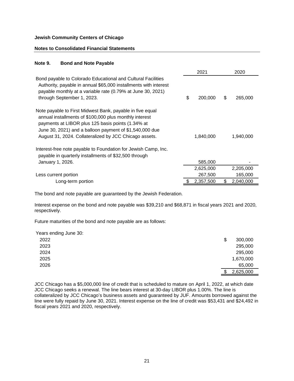#### **Notes to Consolidated Financial Statements**

#### **Note 9. Bond and Note Payable**

|                                                                                                                                                                                                                                                                                               | 2021          | 2020            |
|-----------------------------------------------------------------------------------------------------------------------------------------------------------------------------------------------------------------------------------------------------------------------------------------------|---------------|-----------------|
| Bond payable to Colorado Educational and Cultural Facilities<br>Authority, payable in annual \$65,000 installments with interest<br>payable monthly at a variable rate (0.79% at June 30, 2021)<br>through September 1, 2023.                                                                 | \$<br>200,000 | \$<br>265,000   |
| Note payable to First Midwest Bank, payable in five equal<br>annual installments of \$100,000 plus monthly interest<br>payments at LIBOR plus 125 basis points (1.34% at<br>June 30, 2021) and a balloon payment of \$1,540,000 due<br>August 31, 2024. Collateralized by JCC Chicago assets. | 1,840,000     | 1,940,000       |
| Interest-free note payable to Foundation for Jewish Camp, Inc.<br>payable in quarterly installments of \$32,500 through<br>January 1, 2026.                                                                                                                                                   | 585,000       |                 |
|                                                                                                                                                                                                                                                                                               | 2,625,000     | 2,205,000       |
| Less current portion                                                                                                                                                                                                                                                                          | 267,500       | 165,000         |
| Long-term portion                                                                                                                                                                                                                                                                             | 2,357,500     | \$<br>2,040,000 |

The bond and note payable are guaranteed by the Jewish Federation.

Interest expense on the bond and note payable was \$39,210 and \$68,871 in fiscal years 2021 and 2020, respectively.

Future maturities of the bond and note payable are as follows:

| Years ending June 30: |               |
|-----------------------|---------------|
| 2022                  | \$<br>300,000 |
| 2023                  | 295,000       |
| 2024                  | 295,000       |
| 2025                  | 1,670,000     |
| 2026                  | 65,000        |
|                       | 2,625,000     |

JCC Chicago has a \$5,000,000 line of credit that is scheduled to mature on April 1, 2022, at which date JCC Chicago seeks a renewal. The line bears interest at 30-day LIBOR plus 1.00%. The line is collateralized by JCC Chicago's business assets and guaranteed by JUF. Amounts borrowed against the line were fully repaid by June 30, 2021. Interest expense on the line of credit was \$53,431 and \$24,492 in fiscal years 2021 and 2020, respectively.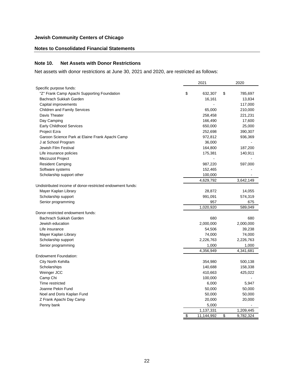# **Notes to Consolidated Financial Statements**

### **Note 10. Net Assets with Donor Restrictions**

Net assets with donor restrictions at June 30, 2021 and 2020, are restricted as follows:

|                                                           | 2021             | 2020            |
|-----------------------------------------------------------|------------------|-----------------|
| Specific purpose funds:                                   |                  |                 |
| "Z" Frank Camp Apachi Supporting Foundation               | \$<br>632,307    | \$<br>785,697   |
| Bachrach Sukkah Garden                                    | 16,161           | 13,834          |
| Capital improvements                                      |                  | 117,000         |
| <b>Children and Family Services</b>                       | 65,000           | 210,000         |
| Davis Theater                                             | 258,458          | 221,231         |
| Day Camping                                               | 166,490          | 17,600          |
| <b>Early Childhood Services</b>                           | 650,000          | 25,000          |
| Project Ezra                                              | 252,698          | 390,307         |
| Garoon Science Park at Elaine Frank Apachi Camp           | 972,812          | 936,369         |
| J at School Program                                       | 36,000           |                 |
| Jewish Film Festival                                      | 164,800          | 187,200         |
| Life insurance policies                                   | 175,381          | 140,911         |
| Mezzuzot Project                                          |                  |                 |
| <b>Resident Camping</b>                                   | 987,220          | 597,000         |
| Software systems                                          | 152,465          |                 |
| Scholarship support other                                 | 100,000          |                 |
|                                                           | 4,629,792        | 3,642,149       |
| Undistributed income of donor-restricted endowment funds: |                  |                 |
| Mayer Kaplan Library                                      | 28,872           | 14,055          |
| Scholarship support                                       | 991,091          | 574,319         |
| Senior programming                                        | 957              | 675             |
|                                                           | 1,020,920        | 589,049         |
| Donor-restricted endowment funds:                         |                  |                 |
| Bachrach Sukkah Garden                                    | 680              | 680             |
| Jewish education                                          | 2,000,000        | 2,000,000       |
| Life insurance                                            | 54,506           | 39,238          |
| Mayer Kaplan Library                                      | 74,000           | 74,000          |
| Scholarship support                                       | 2,226,763        | 2,226,763       |
| Senior programming                                        | 1,000            | 1,000           |
|                                                           | 4,356,949        | 4,341,681       |
| <b>Endowment Foundation:</b>                              |                  |                 |
| City North Kehilla                                        | 354,980          | 500,138         |
| Scholarships                                              | 140,688          | 158,338         |
| Weinger JCC                                               | 410,663          | 425,022         |
| Camp Chi                                                  | 100,000          |                 |
| Time restricted                                           | 6,000            | 5,947           |
| Joanne Pekin Fund                                         | 50,000           | 50,000          |
| Noel and Doris Kaplan Fund                                | 50,000           | 50,000          |
| Z Frank Apachi Day Camp                                   | 20,000           | 20,000          |
| Penny bank                                                | 5,000            |                 |
|                                                           | 1,137,331        | 1,209,445       |
|                                                           | \$<br>11,144,992 | \$<br>9,782,324 |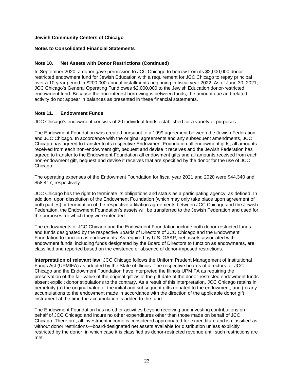#### **Notes to Consolidated Financial Statements**

#### **Note 10. Net Assets with Donor Restrictions (Continued)**

In September 2020, a donor gave permission to JCC Chicago to borrow from its \$2,000,000 donorrestricted endowment fund for Jewish Education with a requirement for JCC Chicago to repay principal over a 10-year period in \$200,000 annual installments beginning in fiscal year 2022. As of June 30, 2021, JCC Chicago's General Operating Fund owes \$2,000,000 to the Jewish Education donor-restricted endowment fund. Because the non-interest borrowing is between funds, the amount due and related activity do not appear in balances as presented in these financial statements.

#### **Note 11. Endowment Funds**

JCC Chicago's endowment consists of 20 individual funds established for a variety of purposes.

The Endowment Foundation was created pursuant to a 1999 agreement between the Jewish Federation and JCC Chicago. In accordance with the original agreements and any subsequent amendments, JCC Chicago has agreed to transfer to its respective Endowment Foundation all endowment gifts, all amounts received from each non-endowment gift, bequest and devise it receives and the Jewish Federation has agreed to transfer to the Endowment Foundation all endowment gifts and all amounts received from each non-endowment gift, bequest and devise it receives that are specified by the donor for the use of JCC Chicago.

The operating expenses of the Endowment Foundation for fiscal year 2021 and 2020 were \$44,340 and \$58,417, respectively.

JCC Chicago has the right to terminate its obligations and status as a participating agency, as defined. In addition, upon dissolution of the Endowment Foundation (which may only take place upon agreement of both parties) or termination of the respective affiliation agreements between JCC Chicago and the Jewish Federation, the Endowment Foundation's assets will be transferred to the Jewish Federation and used for the purposes for which they were intended.

The endowments of JCC Chicago and the Endowment Foundation include both donor-restricted funds and funds designated by the respective Boards of Directors of JCC Chicago and the Endowment Foundation to function as endowments. As required by U.S. GAAP, net assets associated with endowment funds, including funds designated by the Board of Directors to function as endowments, are classified and reported based on the existence or absence of donor-imposed restrictions.

**Interpretation of relevant law:** JCC Chicago follows the Uniform Prudent Management of Institutional Funds Act (UPMIFA) as adopted by the State of Illinois. The respective boards of directors for JCC Chicago and the Endowment Foundation have interpreted the Illinois UPMIFA as requiring the preservation of the fair value of the original gift as of the gift date of the donor-restricted endowment funds absent explicit donor stipulations to the contrary. As a result of this interpretation, JCC Chicago retains in perpetuity (a) the original value of the initial and subsequent gifts donated to the endowment, and (b) any accumulations to the endowment made in accordance with the direction of the applicable donor gift instrument at the time the accumulation is added to the fund.

The Endowment Foundation has no other activities beyond receiving and investing contributions on behalf of JCC Chicago and incurs no other expenditures other than those made on behalf of JCC Chicago. Therefore, all investment income is considered appropriated for expenditure and is classified as without donor restrictions—board-designated net assets available for distribution unless explicitly restricted by the donor, in which case it is classified as donor-restricted revenue until such restrictions are met.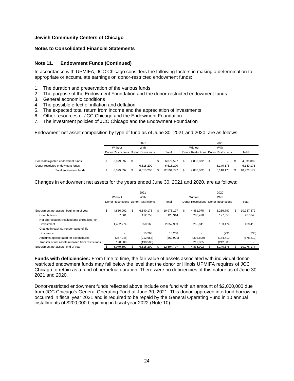#### **Notes to Consolidated Financial Statements**

#### **Note 11. Endowment Funds (Continued)**

In accordance with UPMIFA, JCC Chicago considers the following factors in making a determination to appropriate or accumulate earnings on donor-restricted endowment funds:

- 1. The duration and preservation of the various funds
- 2. The purpose of the Endowment Foundation and the donor-restricted endowment funds
- 3. General economic conditions
- 4. The possible effect of inflation and deflation
- 5. The expected total return from income and the appreciation of investments
- 6. Other resources of JCC Chicago and the Endowment Foundation
- 7. The investment policies of JCC Chicago and the Endowment Foundation

Endowment net asset composition by type of fund as of June 30, 2021 and 2020, are as follows:

|                                  | 2021            |                                       |   |           |  |            | 2020    |                                       |      |           |  |            |
|----------------------------------|-----------------|---------------------------------------|---|-----------|--|------------|---------|---------------------------------------|------|-----------|--|------------|
|                                  | Without<br>With |                                       |   |           |  |            | Without |                                       | With |           |  |            |
|                                  |                 | Donor Restrictions Donor Restrictions |   |           |  | Total      |         | Donor Restrictions Donor Restrictions |      |           |  | Total      |
|                                  |                 |                                       |   |           |  |            |         |                                       |      |           |  |            |
| Board-designated endowment funds |                 | 6.079.597                             | S |           |  | 6.079.597  |         | 4.836.002                             |      |           |  | 4,836,002  |
| Donor-restricted endowment funds |                 |                                       |   | 6.515.200 |  | 6.515.200  |         |                                       |      | 6.140.175 |  | 6,140,175  |
| Total endowment funds            |                 | 6,079,597                             |   | 6,515,200 |  | 12,594,797 |         | 4.836.002                             |      | 6,140,175 |  | 10,976,177 |

Changes in endowment net assets for the years ended June 30, 2021 and 2020, are as follows:

|                                                   |                                       | 2021            |   |            |                                       | 2020            |     |            |
|---------------------------------------------------|---------------------------------------|-----------------|---|------------|---------------------------------------|-----------------|-----|------------|
|                                                   | Without                               | With            |   |            | Without                               | With            |     |            |
|                                                   | Donor Restrictions Donor Restrictions |                 |   | Total      | Donor Restrictions Donor Restrictions |                 |     | Total      |
| Endowment net assets, beginning of year           | \$<br>4.836.002                       | \$<br>6.140.175 | S | 10.976.177 | \$<br>4.481.075                       | \$<br>6.256.797 | \$. | 10,737,872 |
| Contributions                                     | 7,561                                 | 112.753         |   | 120.314    | 280.490                               | 127.355         |     | 407,845    |
| Net appreciation (realized and unrealized) on     |                                       |                 |   |            |                                       |                 |     |            |
| investment                                        | 1.402.774                             | 650.165         |   | 2.052.939  | 255.941                               | 153.474         |     | 409.415    |
| Change in cash surrender value of life            |                                       |                 |   |            |                                       |                 |     |            |
| insurance                                         |                                       | 15.268          |   | 15.268     |                                       | (736)           |     | (736)      |
| Amounts appropriated for expenditures             | (357, 248)                            | (212, 653)      |   | (569, 901) | (393, 809)                            | (184, 410)      |     | (578, 219) |
| Transfer of net assets released from restrictions | 190,508                               | (190, 508)      |   |            | 212.305                               | (212, 305)      |     |            |
| Endowment net assets, end of year                 | 6,079,597                             | 6.515.200       |   | 12,594,797 | 4,836,002                             | 6,140,175       |     | 10.976.177 |

**Funds with deficiencies:** From time to time, the fair value of assets associated with individual donorrestricted endowment funds may fall below the level that the donor or Illinois UPMIFA requires of JCC Chicago to retain as a fund of perpetual duration. There were no deficiencies of this nature as of June 30, 2021 and 2020.

Donor-restricted endowment funds reflected above include one fund with an amount of \$2,000,000 due from JCC Chicago's General Operating Fund at June 30, 2021. This donor-approved interfund borrowing occurred in fiscal year 2021 and is required to be repaid by the General Operating Fund in 10 annual installments of \$200,000 beginning in fiscal year 2022 (Note 10).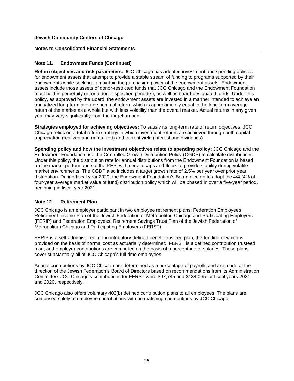#### **Notes to Consolidated Financial Statements**

#### **Note 11. Endowment Funds (Continued)**

**Return objectives and risk parameters:** JCC Chicago has adopted investment and spending policies for endowment assets that attempt to provide a stable stream of funding to programs supported by their endowments while seeking to maintain the purchasing power of the endowment assets. Endowment assets include those assets of donor-restricted funds that JCC Chicago and the Endowment Foundation must hold in perpetuity or for a donor-specified period(s), as well as board-designated funds. Under this policy, as approved by the Board, the endowment assets are invested in a manner intended to achieve an annualized long-term average nominal return, which is approximately equal to the long-term average return of the market as a whole but with less volatility than the overall market. Actual returns in any given year may vary significantly from the target amount.

**Strategies employed for achieving objectives:** To satisfy its long-term rate of return objectives, JCC Chicago relies on a total return strategy in which investment returns are achieved through both capital appreciation (realized and unrealized) and current yield (interest and dividends).

**Spending policy and how the investment objectives relate to spending policy:** JCC Chicago and the Endowment Foundation use the Controlled Growth Distribution Policy (CGDP) to calculate distributions. Under this policy, the distribution rate for annual distributions from the Endowment Foundation is based on the market performance of the PEP, with certain caps and floors to provide stability during volatile market environments. The CGDP also includes a target growth rate of 2.5% per year over prior year distribution. During fiscal year 2020, the Endowment Foundation's Board elected to adopt the 4/4 (4% of four-year average market value of fund) distribution policy which will be phased in over a five-year period, beginning in fiscal year 2021.

#### **Note 12. Retirement Plan**

JCC Chicago is an employer participant in two employee retirement plans: Federation Employees Retirement Income Plan of the Jewish Federation of Metropolitan Chicago and Participating Employers (FERIP) and Federation Employees' Retirement Savings Trust Plan of the Jewish Federation of Metropolitan Chicago and Participating Employers (FERST).

FERIP is a self-administered, noncontributory defined benefit trusteed plan, the funding of which is provided on the basis of normal cost as actuarially determined. FERST is a defined contribution trusteed plan, and employer contributions are computed on the basis of a percentage of salaries. These plans cover substantially all of JCC Chicago's full-time employees.

Annual contributions by JCC Chicago are determined as a percentage of payrolls and are made at the direction of the Jewish Federation's Board of Directors based on recommendations from its Administration Committee. JCC Chicago's contributions for FERST were \$97,745 and \$134,065 for fiscal years 2021 and 2020, respectively.

JCC Chicago also offers voluntary 403(b) defined contribution plans to all employees. The plans are comprised solely of employee contributions with no matching contributions by JCC Chicago.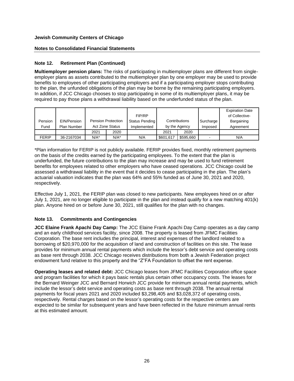#### **Notes to Consolidated Financial Statements**

#### **Note 12. Retirement Plan (Continued)**

**Multiemployer pension plans:** The risks of participating in multiemployer plans are different from singleemployer plans as assets contributed to the multiemployer plan by one employer may be used to provide benefits to employees of other participating employers and if a participating employer stops contributing to the plan, the unfunded obligations of the plan may be borne by the remaining participating employers. In addition, if JCC Chicago chooses to stop participating in some of its multiemployer plans, it may be required to pay those plans a withdrawal liability based on the underfunded status of the plan.

|              |             |         |                        |                       |                        |               |           | <b>Expiration Date</b> |
|--------------|-------------|---------|------------------------|-----------------------|------------------------|---------------|-----------|------------------------|
|              |             |         |                        | FIP/RP                |                        |               |           | of Collective-         |
| Pension      | EIN/Pension |         | Pension Protection     | <b>Status Pending</b> |                        | Contributions | Surcharge | Bargaining             |
| Fund         | Plan Number |         | <b>Act Zone Status</b> | Implemented           |                        | by the Agency | Imposed   | Agreement              |
|              |             | 2021    | 2020                   |                       | 2021                   | 2020          |           |                        |
| <b>FERIP</b> | 36-2167034  | $N/A^*$ | $N/A^*$                | N/A                   | \$601,617<br>\$595,660 |               |           | N/A                    |
|              |             |         |                        |                       |                        |               |           |                        |

\*Plan information for FERIP is not publicly available. FERIP provides fixed, monthly retirement payments on the basis of the credits earned by the participating employees. To the extent that the plan is underfunded, the future contributions to the plan may increase and may be used to fund retirement benefits for employees related to other employers who have ceased operations. JCC Chicago could be assessed a withdrawal liability in the event that it decides to cease participating in the plan. The plan's actuarial valuation indicates that the plan was 64% and 55% funded as of June 30, 2021 and 2020, respectively.

Effective July 1, 2021, the FERIP plan was closed to new participants. New employees hired on or after July 1, 2021, are no longer eligible to participate in the plan and instead qualify for a new matching 401(k) plan. Anyone hired on or before June 30, 2021, still qualifies for the plan with no changes.

#### **Note 13. Commitments and Contingencies**

**JCC Elaine Frank Apachi Day Camp:** The JCC Elaine Frank Apachi Day Camp operates as a day camp and an early childhood services facility, since 2008. The property is leased from JFMC Facilities Corporation. The base rent includes the principal, interest and expenses of the landlord related to a borrowing of \$20,970,000 for the acquisition of land and construction of facilities on this site. The lease provides for minimum annual rental payments which include the lessor's debt service and operating costs as base rent through 2038. JCC Chicago receives distributions from both a Jewish Federation project endowment fund relative to this property and the "Z"FA Foundation to offset the rent expense.

**Operating leases and related debt:** JCC Chicago leases from JFMC Facilities Corporation office space and program facilities for which it pays basic rentals plus certain other occupancy costs. The leases for the Bernard Weinger JCC and Bernard Horwich JCC provide for minimum annual rental payments, which include the lessor's debt service and operating costs as base rent through 2038. The annual rental payments for fiscal years 2021 and 2020 included \$3,298,405 and \$3,028,372 of operating costs, respectively. Rental charges based on the lessor's operating costs for the respective centers are expected to be similar for subsequent years and have been reflected in the future minimum annual rents at this estimated amount.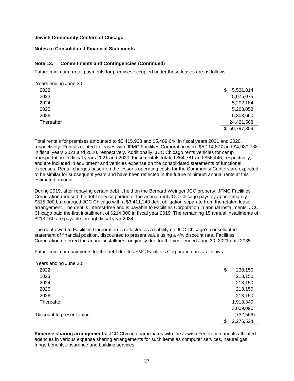#### **Notes to Consolidated Financial Statements**

#### **Note 13. Commitments and Contingencies (Continued)**

Future minimum rental payments for premises occupied under these leases are as follows:

| Years ending June 30: |                  |
|-----------------------|------------------|
| 2022                  | 5,531,814<br>\$. |
| 2023                  | 5,075,075        |
| 2024                  | 5,202,184        |
| 2025                  | 5,263,058        |
| 2026                  | 5,303,660        |
| Thereafter            | 24,421,568       |
|                       | \$50,797,359     |

Total rentals for premises amounted to \$5,415,933 and \$5,489,644 in fiscal years 2021 and 2020, respectively. Rentals related to leases with JFMC Facilities Corporation were \$5,114,877 and \$4,980,738 in fiscal years 2021 and 2020, respectively. Additionally, JCC Chicago rents vehicles for camp transportation. In fiscal years 2021 and 2020, these rentals totaled \$64,781 and \$56,446, respectively, and are included in equipment and vehicles expense on the consolidated statements of functional expenses. Rental charges based on the lessor's operating costs for the Community Centers are expected to be similar for subsequent years and have been reflected in the future minimum annual rents at this estimated amount.

During 2019, after repaying certain debt it held on the Bernard Weinger JCC property, JFMC Facilities Corporation reduced the debt service portion of the annual rent JCC Chicago pays by approximately \$315,000 but charged JCC Chicago with a \$3,411,240 debt obligation separate from the related lease arrangement. The debt is interest-free and is payable to Facilities Corporation in annual installments. JCC Chicago paid the first installment of \$214,000 in fiscal year 2019. The remaining 15 annual installments of \$213,150 are payable through fiscal year 2034.

The debt owed to Facilities Corporation is reflected as a liability on JCC Chicago's consolidated statement of financial position, discounted to present value using a 4% discount rate. Facilities Corporation deferred the annual installment originally due for the year ended June 30, 2021 until 2035.

Future minimum payments for the debt due to JFMC Facilities Corporation are as follows:

| Years ending June 30:     |                 |
|---------------------------|-----------------|
| 2022                      | \$<br>238,150   |
| 2023                      | 213,150         |
| 2024                      | 213,150         |
| 2025                      | 213,150         |
| 2026                      | 213,150         |
| Thereafter                | 1,918,340       |
|                           | 3,009,090       |
| Discount to present value | (732, 566)      |
|                           | \$<br>2,276,524 |

**Expense sharing arrangements:** JCC Chicago participates with the Jewish Federation and its affiliated agencies in various expense sharing arrangements for such items as computer services, natural gas, fringe benefits, insurance and building services.